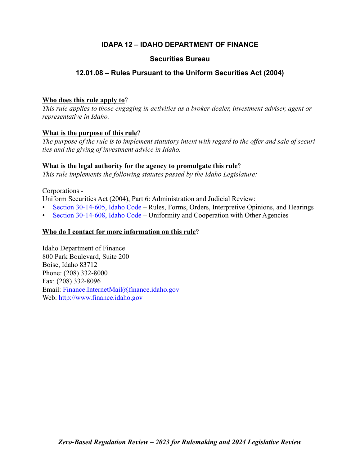# **IDAPA 12 – IDAHO DEPARTMENT OF FINANCE**

# **Securities Bureau**

# **12.01.08 – Rules Pursuant to the Uniform Securities Act (2004)**

# **Who does this rule apply to**?

*This rule applies to those engaging in activities as a broker-dealer, investment adviser, agent or representative in Idaho.*

# **What is the purpose of this rule**?

*The purpose of the rule is to implement statutory intent with regard to the offer and sale of securities and the giving of investment advice in Idaho.*

# **What is the legal authority for the agency to promulgate this rule**?

*This rule implements the following statutes passed by the Idaho Legislature:*

# Corporations -

Uniform Securities Act (2004), Part 6: Administration and Judicial Review:

- [Section 30-14-605, Idaho Code –](http://legislature.idaho.gov/statutesrules/idstat/Title30/T30CH14/SECT30-14-605) Rules, Forms, Orders, Interpretive Opinions, and Hearings
- [Section 30-14-608, Idaho Code –](http://legislature.idaho.gov/statutesrules/idstat/Title30/T30CH14/SECT30-14-608) Uniformity and Cooperation with Other Agencies

# **Who do I contact for more information on this rule**?

Idaho Department of Finance 800 Park Boulevard, Suite 200 Boise, Idaho 83712 Phone: (208) 332-8000 Fax: (208) 332-8096 Email: [Finance.InternetMail@finance.idaho.gov](mailto:Finance.InternetMail@finance.idaho.gov) Web: <http://www.finance.idaho.gov>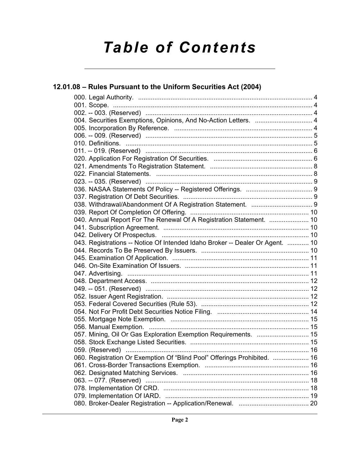# *Table of Contents*

| 12.01.08 - Rules Pursuant to the Uniform Securities Act (2004)                |  |
|-------------------------------------------------------------------------------|--|
|                                                                               |  |
|                                                                               |  |
|                                                                               |  |
| 004. Securities Exemptions, Opinions, And No-Action Letters.  4               |  |
|                                                                               |  |
|                                                                               |  |
|                                                                               |  |
|                                                                               |  |
|                                                                               |  |
|                                                                               |  |
|                                                                               |  |
|                                                                               |  |
|                                                                               |  |
|                                                                               |  |
|                                                                               |  |
|                                                                               |  |
| 040. Annual Report For The Renewal Of A Registration Statement.  10           |  |
|                                                                               |  |
|                                                                               |  |
| 043. Registrations -- Notice Of Intended Idaho Broker -- Dealer Or Agent.  10 |  |
|                                                                               |  |
|                                                                               |  |
|                                                                               |  |
|                                                                               |  |
|                                                                               |  |
|                                                                               |  |
|                                                                               |  |
|                                                                               |  |
|                                                                               |  |
|                                                                               |  |
|                                                                               |  |
|                                                                               |  |
|                                                                               |  |
|                                                                               |  |
| 060. Registration Or Exemption Of "Blind Pool" Offerings Prohibited.  16      |  |
|                                                                               |  |
|                                                                               |  |
|                                                                               |  |
|                                                                               |  |
|                                                                               |  |
|                                                                               |  |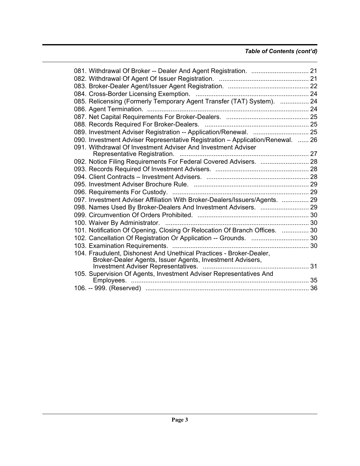# *Table of Contents (cont'd)*

|  | 085. Relicensing (Formerly Temporary Agent Transfer (TAT) System).  24         |  |
|--|--------------------------------------------------------------------------------|--|
|  |                                                                                |  |
|  |                                                                                |  |
|  |                                                                                |  |
|  | 089. Investment Adviser Registration -- Application/Renewal.  25               |  |
|  | 090. Investment Adviser Representative Registration - Application/Renewal.  26 |  |
|  | 091. Withdrawal Of Investment Adviser And Investment Adviser                   |  |
|  |                                                                                |  |
|  | 092. Notice Filing Requirements For Federal Covered Advisers.  28              |  |
|  |                                                                                |  |
|  |                                                                                |  |
|  |                                                                                |  |
|  |                                                                                |  |
|  | 097. Investment Adviser Affiliation With Broker-Dealers/Issuers/Agents.  29    |  |
|  | 098. Names Used By Broker-Dealers And Investment Advisers.  29                 |  |
|  |                                                                                |  |
|  |                                                                                |  |
|  | 101. Notification Of Opening, Closing Or Relocation Of Branch Offices.  30     |  |
|  | 102. Cancellation Of Registration Or Application -- Grounds.  30               |  |
|  |                                                                                |  |
|  | 104. Fraudulent, Dishonest And Unethical Practices - Broker-Dealer,            |  |
|  | Broker-Dealer Agents, Issuer Agents, Investment Advisers,                      |  |
|  |                                                                                |  |
|  | 105. Supervision Of Agents, Investment Adviser Representatives And             |  |
|  |                                                                                |  |
|  |                                                                                |  |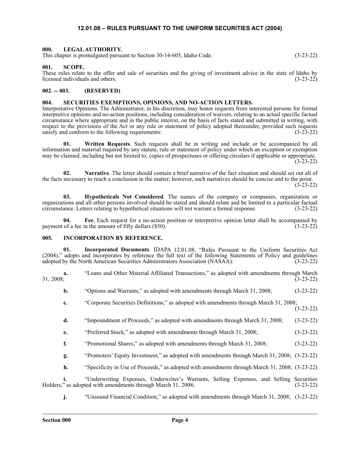### **12.01.08 – RULES PURSUANT TO THE UNIFORM SECURITIES ACT (2004)**

#### <span id="page-3-1"></span><span id="page-3-0"></span>**000. LEGAL AUTHORITY.**

This chapter is promulgated pursuant to Section 30-14-605, Idaho Code. (3-23-22)

#### <span id="page-3-2"></span>**001. SCOPE.**

These rules relate to the offer and sale of securities and the giving of investment advice in the state of Idaho by licensed individuals and others. (3-23-22)

#### <span id="page-3-3"></span>**002. -- 003. (RESERVED)**

#### <span id="page-3-4"></span>**004. SECURITIES EXEMPTIONS, OPINIONS, AND NO-ACTION LETTERS.**

Interpretative Opinions. The Administrator, in his discretion, may honor requests from interested persons for formal interpretive opinions and no-action positions, including consideration of waivers, relating to an actual specific factual circumstance where appropriate and in the public interest, on the basis of facts stated and submitted in writing, with respect to the provisions of the Act or any rule or statement of policy adopted thereunder, provided such requests satisfy and conform to the following requirements: (3-23-22)

**01. Written Requests**. Such requests shall be in writing and include or be accompanied by all information and material required by any statute, rule or statement of policy under which an exception or exemption may be claimed, including but not limited to, copies of prospectuses or offering circulars if applicable or appropriate.  $(3-23-22)$ 

**02. Narrative**. The letter should contain a brief narrative of the fact situation and should set out all of the facts necessary to reach a conclusion in the matter; however, such narratives should be concise and to the point. (3-23-22)

**03. Hypotheticals Not Considered**. The names of the company or companies, organization or organizations and all other persons involved should be stated and should relate and be limited to a particular factual circumstance. Letters relating to hypothetical situations will not warrant a formal response. (3-23-22)

**04. Fee**. Each request for a no-action position or interpretive opinion letter shall be accompanied by payment of a fee in the amount of fifty dollars (\$50). (3-23-22)

#### <span id="page-3-5"></span>**005. INCORPORATION BY REFERENCE.**

**01. Incorporated Documents**. IDAPA 12.01.08, "Rules Pursuant to the Uniform Securities Act (2004)," adopts and incorporates by reference the full text of the following Statements of Policy and guidelines adopted by the North American Securities Administrators Association (NASAA): (3-23-22) adopted by the North American Securities Administrators Association (NASAA):

**a.** "Loans and Other Material Affiliated Transactions," as adopted with amendments through March 31, 2008;<br>(3-23-22)  $31, 2008;$  (3-23-22)

**b.** "Options and Warrants," as adopted with amendments through March 31, 2008; (3-23-22)

- **c.** "Corporate Securities Definitions," as adopted with amendments through March 31, 2008;
	- (3-23-22)
- **d.** "Impoundment of Proceeds," as adopted with amendments through March 31, 2008; (3-23-22)
- **e.** "Preferred Stock," as adopted with amendments through March 31, 2008; (3-23-22)
- **f.** "Promotional Shares," as adopted with amendments through March 31, 2008; (3-23-22)
- **g.** "Promoters' Equity Investment," as adopted with amendments through March 31, 2008; (3-23-22)
- **h.** "Specificity in Use of Proceeds," as adopted with amendments through March 31, 2008; (3-23-22)

**i.** "Underwriting Expenses, Underwriter's Warrants, Selling Expenses, and Selling Securities " as adopted with amendments through March 31, 2008; Holders," as adopted with amendments through March 31, 2008;

**j.** "Unsound Financial Condition," as adopted with amendments through March 31, 2008; (3-23-22)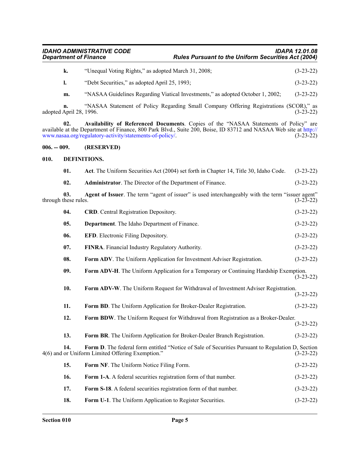| IDAHO ADMINISTRATIVE CODE    | <b>IDAPA 12.01.08</b>                                      |
|------------------------------|------------------------------------------------------------|
| <b>Department of Finance</b> | <b>Rules Pursuant to the Uniform Securities Act (2004)</b> |

| k. | "Unequal Voting Rights," as adopted March 31, 2008; | $(3-23-22)$ |
|----|-----------------------------------------------------|-------------|
|----|-----------------------------------------------------|-------------|

**l.** "Debt Securities," as adopted April 25, 1993; (3-23-22)

**m.** "NASAA Guidelines Regarding Viatical Investments," as adopted October 1, 2002; (3-23-22)

**n.** "NASAA Statement of Policy Regarding Small Company Offering Registrations (SCOR)," as adopted April 28, 1996. (3-23-22)

**02. Availability of Referenced Documents**. Copies of the "NASAA Statements of Policy" are available at the Department of Finance, 800 Park Blvd., Suite 200, Boise, ID 83712 and NASAA Web site a[t http://](http://www.nasaa.org/regulatory-activity/statements-of-policy/) [www.nasaa.org/regulatory-activity/statements-of-policy/](http://www.nasaa.org/regulatory-activity/statements-of-policy/). (3-23-22)

#### <span id="page-4-0"></span>**006. -- 009. (RESERVED)**

#### <span id="page-4-1"></span>**010. DEFINITIONS.**

| 01.                         | Act. The Uniform Securities Act (2004) set forth in Chapter 14, Title 30, Idaho Code.                                                                 | $(3-23-22)$ |
|-----------------------------|-------------------------------------------------------------------------------------------------------------------------------------------------------|-------------|
| 02.                         | Administrator. The Director of the Department of Finance.                                                                                             | $(3-23-22)$ |
| 03.<br>through these rules. | Agent of Issuer. The term "agent of issuer" is used interchangeably with the term "issuer agent"                                                      | $(3-23-22)$ |
| 04.                         | <b>CRD.</b> Central Registration Depository.                                                                                                          | $(3-23-22)$ |
| 05.                         | Department. The Idaho Department of Finance.                                                                                                          | $(3-23-22)$ |
| 06.                         | <b>EFD.</b> Electronic Filing Depository.                                                                                                             | $(3-23-22)$ |
| 07.                         | FINRA. Financial Industry Regulatory Authority.                                                                                                       | $(3-23-22)$ |
| 08.                         | Form ADV. The Uniform Application for Investment Adviser Registration.                                                                                | $(3-23-22)$ |
| 09.                         | Form ADV-H. The Uniform Application for a Temporary or Continuing Hardship Exemption.                                                                 | $(3-23-22)$ |
| 10.                         | Form ADV-W. The Uniform Request for Withdrawal of Investment Adviser Registration.                                                                    | $(3-23-22)$ |
| 11.                         | Form BD. The Uniform Application for Broker-Dealer Registration.                                                                                      | $(3-23-22)$ |
| 12.                         | Form BDW. The Uniform Request for Withdrawal from Registration as a Broker-Dealer.                                                                    | $(3-23-22)$ |
| 13.                         | Form BR. The Uniform Application for Broker-Dealer Branch Registration.                                                                               | $(3-23-22)$ |
| 14.                         | Form D. The federal form entitled "Notice of Sale of Securities Pursuant to Regulation D, Section<br>4(6) and or Uniform Limited Offering Exemption." | $(3-23-22)$ |
| 15.                         | Form NF. The Uniform Notice Filing Form.                                                                                                              | $(3-23-22)$ |
| 16.                         | Form 1-A. A federal securities registration form of that number.                                                                                      | $(3-23-22)$ |
| 17.                         | Form S-18. A federal securities registration form of that number.                                                                                     | $(3-23-22)$ |
| 18.                         | Form U-1. The Uniform Application to Register Securities.                                                                                             | $(3-23-22)$ |
|                             |                                                                                                                                                       |             |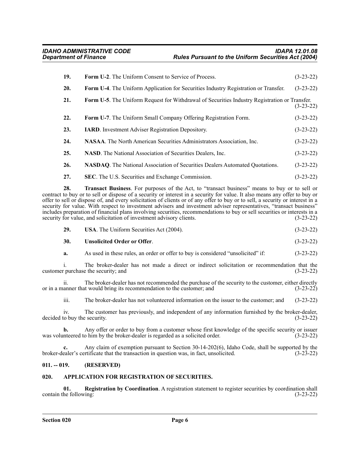| 19. | <b>Form U-2.</b> The Uniform Consent to Service of Process.                                   | $(3-23-22)$ |
|-----|-----------------------------------------------------------------------------------------------|-------------|
| 20. | Form U-4. The Uniform Application for Securities Industry Registration or Transfer.           | $(3-23-22)$ |
| 21. | Form U-5. The Uniform Request for Withdrawal of Securities Industry Registration or Transfer. | $(3-23-22)$ |
| 22. | <b>Form U-7.</b> The Uniform Small Company Offering Registration Form.                        | $(3-23-22)$ |
| 23. | <b>IARD.</b> Investment Adviser Registration Depository.                                      | $(3-23-22)$ |
| 24. | NASAA. The North American Securities Administrators Association, Inc.                         | $(3-23-22)$ |
| 25. | <b>NASD.</b> The National Association of Securities Dealers, Inc.                             | $(3-23-22)$ |
| 26. | <b>NASDAQ.</b> The National Association of Securities Dealers Automated Quotations.           | $(3-23-22)$ |

**27. SEC**. The U.S. Securities and Exchange Commission. (3-23-22)

**28. Transact Business**. For purposes of the Act, to "transact business" means to buy or to sell or contract to buy or to sell or dispose of a security or interest in a security for value. It also means any offer to buy or offer to sell or dispose of, and every solicitation of clients or of any offer to buy or to sell, a security or interest in a security for value. With respect to investment advisers and investment adviser representatives, "transact business" includes preparation of financial plans involving securities, recommendations to buy or sell securities or interests in a security for value, and solicitation of investment advisory clients. (3-23-22) security for value, and solicitation of investment advisory clients.

#### **30. Unsolicited Order or Offer**. (3-23-22)

**a.** As used in these rules, an order or offer to buy is considered "unsolicited" if: (3-23-22)

i. The broker-dealer has not made a direct or indirect solicitation or recommendation that the repurchase the security; and (3-23-22) customer purchase the security; and

ii. The broker-dealer has not recommended the purchase of the security to the customer, either directly or in a manner that would bring its recommendation to the customer; and (3-23-22)

iii. The broker-dealer has not volunteered information on the issuer to the customer; and (3-23-22)

iv. The customer has previously, and independent of any information furnished by the broker-dealer, decided to buy the security. (3-23-22)

**b.** Any offer or order to buy from a customer whose first knowledge of the specific security or issuer inteered to him by the broker-dealer is regarded as a solicited order. (3-23-22) was volunteered to him by the broker-dealer is regarded as a solicited order.

**c.** Any claim of exemption pursuant to Section 30-14-202(6), Idaho Code, shall be supported by the ealer's certificate that the transaction in question was, in fact, unsolicited. (3-23-22) broker-dealer's certificate that the transaction in question was, in fact, unsolicited.

#### <span id="page-5-0"></span>**011. -- 019. (RESERVED)**

#### <span id="page-5-1"></span>**020. APPLICATION FOR REGISTRATION OF SECURITIES.**

**01.** Registration by Coordination. A registration statement to register securities by coordination shall he following: (3-23-22) contain the following: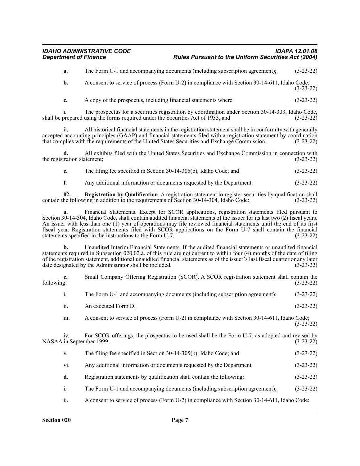**a.** The Form U-1 and accompanying documents (including subscription agreement); (3-23-22)

**b.** A consent to service of process (Form U-2) in compliance with Section 30-14-611, Idaho Code; (3-23-22)

**c.** A copy of the prospectus, including financial statements where: (3-23-22)

i. The prospectus for a securities registration by coordination under Section 30-14-303, Idaho Code, shall be prepared using the forms required under the Securities Act of 1933, and (3-23-22)

ii. All historical financial statements in the registration statement shall be in conformity with generally accepted accounting principles (GAAP) and financial statements filed with a registration statement by coordination that complies with the requirements of the United States Securities and Exchange Commission. (3-23-22) that complies with the requirements of the United States Securities and Exchange Commission.

**d.** All exhibits filed with the United States Securities and Exchange Commission in connection with the registration statement; (3-23-22)

**e.** The filing fee specified in Section 30-14-305(b), Idaho Code; and (3-23-22)

**f.** Any additional information or documents requested by the Department. (3-23-22)

**02. Registration by Qualification**. A registration statement to register securities by qualification shall he following in addition to the requirements of Section 30-14-304, Idaho Code: (3-23-22) contain the following in addition to the requirements of Section 30-14-304, Idaho Code:

**a.** Financial Statements. Except for SCOR applications, registration statements filed pursuant to Section 30-14-304, Idaho Code, shall contain audited financial statements of the issuer for its last two (2) fiscal years. An issuer with less than one (1) year of operations may file reviewed financial statements until the end of its first fiscal year. Registration statements filed with SCOR applications on the Form U-7 shall contain the financial statements specified in the instructions to the Form U-7.

**b.** Unaudited Interim Financial Statements. If the audited financial statements or unaudited financial statements required in Subsection 020.02.a. of this rule are not current to within four (4) months of the date of filing of the registration statement, additional unaudited financial statements as of the issuer's last fiscal quarter or any later date designated by the Administrator shall be included. (3-23-22)

**c.** Small Company Offering Registration (SCOR). A SCOR registration statement shall contain the following: (3-23-22) following: (3-23-22)

- i. The Form U-1 and accompanying documents (including subscription agreement); (3-23-22)
- ii. An executed Form D;  $(3-23-22)$

iii. A consent to service of process (Form U-2) in compliance with Section 30-14-611, Idaho Code; (3-23-22)

iv. For SCOR offerings, the prospectus to be used shall be the Form U-7, as adopted and revised by NASAA in September 1999; (3-23-22)

- v. The filing fee specified in Section 30-14-305(b), Idaho Code; and (3-23-22)
- vi. Any additional information or documents requested by the Department. (3-23-22)
- **d.** Registration statements by qualification shall contain the following: (3-23-22)
- i. The Form U-1 and accompanying documents (including subscription agreement); (3-23-22)
- ii. A consent to service of process (Form U-2) in compliance with Section 30-14-611, Idaho Code;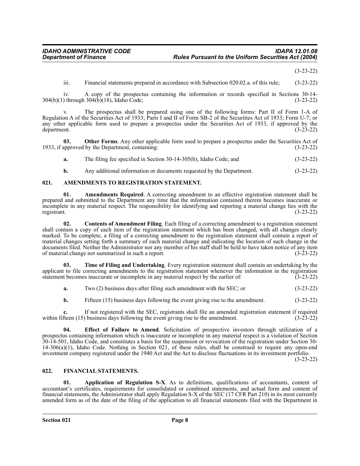(3-23-22)

iii. Financial statements prepared in accordance with Subsection 020.02.a. of this rule; (3-23-22)

iv. A copy of the prospectus containing the information or records specified in Sections 30-14- 304(b)(1) through 304(b)(18), Idaho Code; (3-23-22)

The prospectus shall be prepared using one of the following forms: Part II of Form 1-A of Regulation A of the Securities Act of 1933; Parts I and II of Form SB-2 of the Securities Act of 1933; Form U-7; or any other applicable form used to prepare a prospectus under the Securities Act of 1933, if approved by the department. (3-23-22) department. (3-23-22)

**03.** Other Forms. Any other applicable form used to prepare a prospectus under the Securities Act of 1933, if approved by the Department, containing: (3-23-22)

|  | а. | The filing fee specified in Section 30-14-305(b), Idaho Code; and |  | $(3-23-22)$ |  |
|--|----|-------------------------------------------------------------------|--|-------------|--|
|--|----|-------------------------------------------------------------------|--|-------------|--|

**b.** Any additional information or documents requested by the Department. (3-23-22)

#### <span id="page-7-0"></span>**021. AMENDMENTS TO REGISTRATION STATEMENT.**

**01. Amendments Required**. A correcting amendment to an effective registration statement shall be prepared and submitted to the Department any time that the information contained therein becomes inaccurate or incomplete in any material respect. The responsibility for identifying and reporting a material change lies with the registrant. (3-23-22)

**02. Contents of Amendment Filing**. Each filing of a correcting amendment to a registration statement shall contain a copy of each item of the registration statement which has been changed, with all changes clearly marked. To be complete, a filing of a correcting amendment to the registration statement shall contain a report of material changes setting forth a summary of each material change and indicating the location of such change in the documents filed. Neither the Administrator nor any member of his staff shall be held to have taken notice of any item<br>of material change not summarized in such a report. (3-23-22) of material change not summarized in such a report.

**03. Time of Filing and Undertaking**. Every registration statement shall contain an undertaking by the applicant to file correcting amendments to the registration statement whenever the information in the registration statement becomes inaccurate or incomplete in any material respect by the earlier of: (3-23-22)

| a. |  |  | Two (2) business days after filing such amendment with the SEC; or | $(3-23-22)$ |
|----|--|--|--------------------------------------------------------------------|-------------|
|----|--|--|--------------------------------------------------------------------|-------------|

**b.** Fifteen (15) business days following the event giving rise to the amendment.  $(3-23-22)$ 

**c.** If not registered with the SEC, registrants shall file an amended registration statement if required freen (15) business days following the event giving rise to the amendment. (3-23-22) within fifteen  $(15)$  business days following the event giving rise to the amendment.

**04. Effect of Failure to Amend**. Solicitation of prospective investors through utilization of a prospectus containing information which is inaccurate or incomplete in any material respect is a violation of Section 30-14-501, Idaho Code, and constitutes a basis for the suspension or revocation of the registration under Section 30- 14-306(a)(1), Idaho Code. Nothing in Section 021, of these rules, shall be construed to require any open-end investment company registered under the 1940 Act and the Act to disclose fluctuations in its investment portfolio.

(3-23-22)

#### <span id="page-7-1"></span>**022. FINANCIAL STATEMENTS.**

**01. Application of Regulation S-X**. As to definitions, qualifications of accountants, content of accountant's certificates, requirements for consolidated or combined statements, and actual form and content of financial statements, the Administrator shall apply Regulation S-X of the SEC (17 CFR Part 210) in its most currently amended form as of the date of the filing of the application to all financial statements filed with the Department in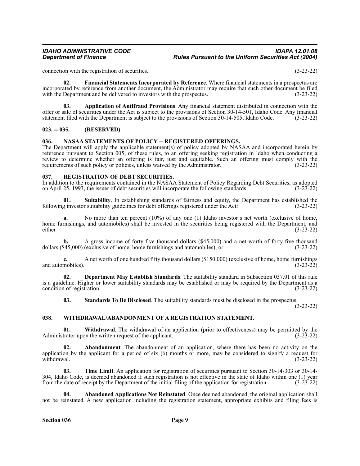connection with the registration of securities. (3-23-22)

**02. Financial Statements Incorporated by Reference**. Where financial statements in a prospectus are incorporated by reference from another document, the Administrator may require that such other document be filed with the Department and be delivered to investors with the prospectus. (3-23-22)

**03. Application of Antifraud Provisions**. Any financial statement distributed in connection with the offer or sale of securities under the Act is subject to the provisions of Section 30-14-501, Idaho Code. Any financial statement filed with the Department is subject to the provisions of Section 30-14-505, Idaho Code. (3-23-22)

### <span id="page-8-0"></span>**023. -- 035. (RESERVED)**

#### <span id="page-8-1"></span>**036. NASAA STATEMENTS OF POLICY -- REGISTERED OFFERINGS.**

The Department will apply the applicable statement(s) of policy adopted by NASAA and incorporated herein by reference pursuant to Section 005, of these rules, to an offering seeking registration in Idaho when conducting a review to determine whether an offering is fair, just and equitable. Such an offering must comply with the requirements of such policy or policies, unless waived by the Administrator. (3-23-22)

#### <span id="page-8-2"></span>**037. REGISTRATION OF DEBT SECURITIES.**

In addition to the requirements contained in the NASAA Statement of Policy Regarding Debt Securities, as adopted on April 25, 1993, the issuer of debt securities will incorporate the following standards: (3-23-22)

**01. Suitability**. In establishing standards of fairness and equity, the Department has established the following investor suitability guidelines for debt offerings registered under the Act: (3-23-22)

No more than ten percent (10%) of any one (1) Idaho investor's net worth (exclusive of home, home furnishings, and automobiles) shall be invested in the securities being registered with the Department; and either (3-23-22) either (3-23-22)

A gross income of forty-five thousand dollars (\$45,000) and a net worth of forty-five thousand (exclusive of home, home furnishings and automobiles); or (3-23-22) dollars  $(\$45,000)$  (exclusive of home, home furnishings and automobiles); or

**c.** A net worth of one hundred fifty thousand dollars (\$150,000) (exclusive of home, home furnishings and automobiles).  $(3-23-22)$ 

**02. Department May Establish Standards**. The suitability standard in Subsection 037.01 of this rule is a guideline. Higher or lower suitability standards may be established or may be required by the Department as a condition of registration. (3-23-22)

**03. Standards To Be Disclosed**. The suitability standards must be disclosed in the prospectus.

(3-23-22)

#### <span id="page-8-3"></span>**038. WITHDRAWAL/ABANDONMENT OF A REGISTRATION STATEMENT.**

**01.** Withdrawal. The withdrawal of an application (prior to effectiveness) may be permitted by the trator upon the written request of the applicant. (3-23-22) Administrator upon the written request of the applicant.

**Abandonment**. The abandonment of an application, where there has been no activity on the application by the applicant for a period of six  $(6)$  months or more, may be considered to signify a request for withdrawal.  $(3-23-22)$ withdrawal.  $(3-23-22)$ 

**03. Time Limit**. An application for registration of securities pursuant to Section 30-14-303 or 30-14- 304, Idaho Code, is deemed abandoned if such registration is not effective in the state of Idaho within one (1) year from the date of receipt by the Department of the initial filing of the application for registration. (3-23-22)

**04. Abandoned Applications Not Reinstated**. Once deemed abandoned, the original application shall not be reinstated. A new application including the registration statement, appropriate exhibits and filing fees is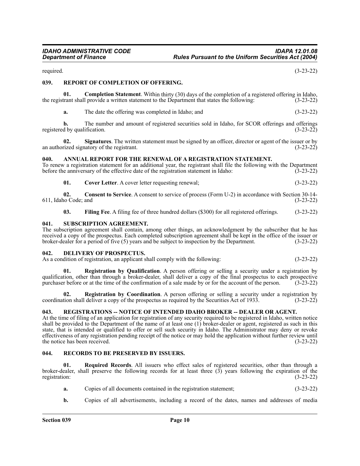required. (3-23-22)

#### <span id="page-9-0"></span>**039. REPORT OF COMPLETION OF OFFERING.**

**01. Completion Statement**. Within thirty (30) days of the completion of a registered offering in Idaho, the registrant shall provide a written statement to the Department that states the following: (3-23-22)

**a.** The date the offering was completed in Idaho; and (3-23-22)

**b.** The number and amount of registered securities sold in Idaho, for SCOR offerings and offerings d by qualification. (3-23-22) registered by qualification.

**02. Signatures**. The written statement must be signed by an officer, director or agent of the issuer or by an authorized signatory of the registrant.  $(3-23-22)$ 

#### <span id="page-9-1"></span>**040. ANNUAL REPORT FOR THE RENEWAL OF A REGISTRATION STATEMENT.**

To renew a registration statement for an additional year, the registrant shall file the following with the Department before the anniversary of the effective date of the registration statement in Idaho: (3-23-22)

**01. Cover Letter**. A cover letter requesting renewal; (3-23-22)

**02.** Consent to Service. A consent to service of process (Form U-2) in accordance with Section 30-14-<br>10 Code; and (3-23-22) 611, Idaho Code; and

**03. Filing Fee**. A filing fee of three hundred dollars (\$300) for all registered offerings. (3-23-22)

#### <span id="page-9-2"></span>**041. SUBSCRIPTION AGREEMENT.**

The subscription agreement shall contain, among other things, an acknowledgment by the subscriber that he has received a copy of the prospectus. Each completed subscription agreement shall be kept in the office of the issuer or broker-dealer for a period of five (5) years and be subject to inspection by the Department. (3-23-22)

#### <span id="page-9-3"></span>**042. DELIVERY OF PROSPECTUS.**

As a condition of registration, an applicant shall comply with the following: (3-23-22)

**01. Registration by Qualification**. A person offering or selling a security under a registration by qualification, other than through a broker-dealer, shall deliver a copy of the final prospectus to each prospective purchaser before or at the time of the confirmation of a sale made by or for the account of the person. (3-23-22)

**Registration by Coordination**. A person offering or selling a security under a registration by deliver a copy of the prospectus as required by the Securities Act of 1933. (3-23-22) coordination shall deliver a copy of the prospectus as required by the Securities Act of 1933.

#### <span id="page-9-4"></span>**043. REGISTRATIONS -- NOTICE OF INTENDED IDAHO BROKER -- DEALER OR AGENT.**

At the time of filing of an application for registration of any security required to be registered in Idaho, written notice shall be provided to the Department of the name of at least one (1) broker-dealer or agent, registered as such in this state, that is intended or qualified to offer or sell such security in Idaho. The Administrator may deny or revoke effectiveness of any registration pending receipt of the notice or may hold the application without further review until the notice has been received. (3-23-22)

#### <span id="page-9-5"></span>**044. RECORDS TO BE PRESERVED BY ISSUERS.**

**01. Required Records**. All issuers who effect sales of registered securities, other than through a broker-dealer, shall preserve the following records for at least three (3) years following the expiration of the registration: (3-23-22)

- **a.** Copies of all documents contained in the registration statement; (3-23-22)
- **b.** Copies of all advertisements, including a record of the dates, names and addresses of media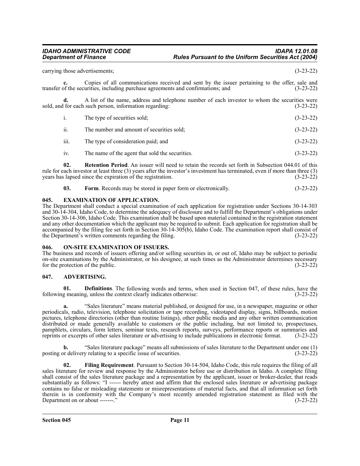carrying those advertisements; (3-23-22)

**c.** Copies of all communications received and sent by the issuer pertaining to the offer, sale and transfer of the securities, including purchase agreements and confirmations; and (3-23-22)

**d.** A list of the name, address and telephone number of each investor to whom the securities were for each such person, information regarding: (3-23-22) sold, and for each such person, information regarding:

| 1.   | The type of securities sold:              | $(3-23-22)$ |
|------|-------------------------------------------|-------------|
| ii.  | The number and amount of securities sold: | $(3-23-22)$ |
| iii. | The type of consideration paid; and       | $(3-23-22)$ |

iv. The name of the agent that sold the securities. (3-23-22)

**02. Retention Period**. An issuer will need to retain the records set forth in Subsection 044.01 of this rule for each investor at least three (3) years after the investor's investment has terminated, even if more than three (3) years has lapsed since the expiration of the registration. (3-23-22)

| 03. | <b>Form.</b> Records may be stored in paper form or electronically. | $(3-23-22)$ |
|-----|---------------------------------------------------------------------|-------------|
|-----|---------------------------------------------------------------------|-------------|

#### <span id="page-10-0"></span>**045. EXAMINATION OF APPLICATION.**

The Department shall conduct a special examination of each application for registration under Sections 30-14-303 and 30-14-304, Idaho Code, to determine the adequacy of disclosure and to fulfill the Department's obligations under Section 30-14-306, Idaho Code. This examination shall be based upon material contained in the registration statement and any other documentation which the applicant may be required to submit. Each application for registration shall be accompanied by the filing fee set forth in Section 30-14-305(b), Idaho Code. The examination report shall consist of the Department's written comments regarding the filing. (3-23-22)

#### <span id="page-10-1"></span>**046. ON-SITE EXAMINATION OF ISSUERS.**

The business and records of issuers offering and/or selling securities in, or out of, Idaho may be subject to periodic on-site examinations by the Administrator, or his designee, at such times as the Administrator determines necessary for the protection of the public. (3-23-22)

#### <span id="page-10-2"></span>**047. ADVERTISING.**

**01. Definitions**. The following words and terms, when used in Section 047, of these rules, have the following meaning, unless the context clearly indicates otherwise: (3-23-22)

**a.** "Sales literature" means material published, or designed for use, in a newspaper, magazine or other periodicals, radio, television, telephone solicitation or tape recording, videotaped display, signs, billboards, motion pictures, telephone directories (other than routine listings), other public media and any other written communication distributed or made generally available to customers or the public including, but not limited to, prospectuses, pamphlets, circulars, form letters, seminar texts, research reports, surveys, performance reports or summaries and reprints or excerpts of other sales literature or advertising to include publications in electronic format. reprints or excerpts of other sales literature or advertising to include publications in electronic format.

**b.** "Sales literature package" means all submissions of sales literature to the Department under one (1) posting or delivery relating to a specific issue of securities. (3-23-22)

**02. Filing Requirement**. Pursuant to Section 30-14-504, Idaho Code, this rule requires the filing of all sales literature for review and response by the Administrator before use or distribution in Idaho. A complete filing shall consist of the sales literature package and a representation by the applicant, issuer or broker-dealer, that reads substantially as follows: "I ------ hereby attest and affirm that the enclosed sales literature or advertising package contains no false or misleading statements or misrepresentations of material facts, and that all information set forth therein is in conformity with the Company's most recently amended registration statement as filed with the Department on or about -------." (3-23-22)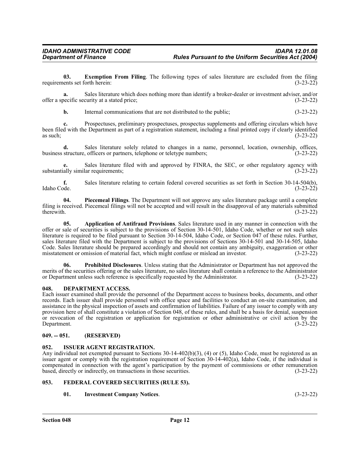**03. Exemption From Filing**. The following types of sales literature are excluded from the filing requirements set forth herein: (3-23-22)

**a.** Sales literature which does nothing more than identify a broker-dealer or investment adviser, and/or offer a specific security at a stated price; (3-23-22)

**b.** Internal communications that are not distributed to the public;  $(3-23-22)$ 

**c.** Prospectuses, preliminary prospectuses, prospectus supplements and offering circulars which have been filed with the Department as part of a registration statement, including a final printed copy if clearly identified as such;  $(3-23-22)$ 

**d.** Sales literature solely related to changes in a name, personnel, location, ownership, offices, business structure, officers or partners, telephone or teletype numbers; (3-23-22)

**e.** Sales literature filed with and approved by FINRA, the SEC, or other regulatory agency with substantially similar requirements;  $(3-23-22)$ 

**f.** Sales literature relating to certain federal covered securities as set forth in Section 30-14-504(b), Idaho Code. (3-23-22) Idaho Code. (3-23-22)

**04. Piecemeal Filings**. The Department will not approve any sales literature package until a complete filing is received. Piecemeal filings will not be accepted and will result in the disapproval of any materials submitted therewith.  $(3-23-22)$ 

**05. Application of Antifraud Provisions**. Sales literature used in any manner in connection with the offer or sale of securities is subject to the provisions of Section 30-14-501, Idaho Code, whether or not such sales literature is required to be filed pursuant to Section 30-14-504, Idaho Code, or Section 047 of these rules. Further, sales literature filed with the Department is subject to the provisions of Sections 30-14-501 and 30-14-505, Idaho Code. Sales literature should be prepared accordingly and should not contain any ambiguity, exaggeration or other misstatement or omission of material fact, which might confuse or mislead an investor. (3-23-22)

**06. Prohibited Disclosures**. Unless stating that the Administrator or Department has not approved the merits of the securities offering or the sales literature, no sales literature shall contain a reference to the Administrator or Department unless such reference is specifically requested by the Administrator. (3-23-22)

#### <span id="page-11-0"></span>**048. DEPARTMENT ACCESS.**

Each issuer examined shall provide the personnel of the Department access to business books, documents, and other records. Each issuer shall provide personnel with office space and facilities to conduct an on-site examination, and assistance in the physical inspection of assets and confirmation of liabilities. Failure of any issuer to comply with any provision here of shall constitute a violation of Section 048, of these rules, and shall be a basis for denial, suspension or revocation of the registration or application for registration or other administrative or civil action by the Department. (3-23-22) Department.

#### <span id="page-11-1"></span>**049. -- 051. (RESERVED)**

#### <span id="page-11-2"></span>**052. ISSUER AGENT REGISTRATION.**

Any individual not exempted pursuant to Sections 30-14-402(b)(3), (4) or (5), Idaho Code, must be registered as an issuer agent or comply with the registration requirement of Section 30-14-402(a), Idaho Code, if the individual is compensated in connection with the agent's participation by the payment of commissions or other remuneration based, directly or indirectly, on transactions in those securities. (3-23-22)

#### <span id="page-11-3"></span>**053. FEDERAL COVERED SECURITIES (RULE 53).**

**01. Investment Company Notices**. (3-23-22)

**Section 048 Page 12**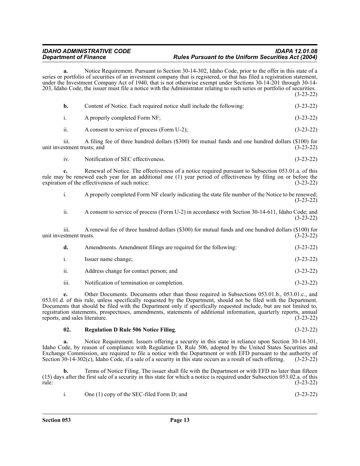**a.** Notice Requirement. Pursuant to Section 30-14-302, Idaho Code, prior to the offer in this state of a series or portfolio of securities of an investment company that is registered, or that has filed a registration statement, under the Investment Company Act of 1940, that is not otherwise exempt under Sections 30-14-201 through 30-14- 203, Idaho Code, the issuer must file a notice with the Administrator relating to such series or portfolio of securities. (3-23-22)

| b.                              | Content of Notice. Each required notice shall include the following:                                                                                                                                                                                                     | $(3-23-22)$ |
|---------------------------------|--------------------------------------------------------------------------------------------------------------------------------------------------------------------------------------------------------------------------------------------------------------------------|-------------|
| i.                              | A properly completed Form NF;                                                                                                                                                                                                                                            | $(3-23-22)$ |
| ii.                             | A consent to service of process (Form U-2);                                                                                                                                                                                                                              | $(3-23-22)$ |
| $\overline{111}$ .              | A filing fee of three hundred dollars (\$300) for mutual funds and one hundred dollars (\$100) for<br>unit investment trusts; and                                                                                                                                        | $(3-23-22)$ |
| iv.                             | Notification of SEC effectiveness.                                                                                                                                                                                                                                       | $(3-23-22)$ |
| c.                              | Renewal of Notice. The effectiveness of a notice required pursuant to Subsection 053.01.a. of this<br>rule may be renewed each year for an additional one (1) year period of effectiveness by filing on or before the<br>expiration of the effectiveness of such notice: | $(3-23-22)$ |
| i.                              | A properly completed Form NF clearly indicating the state file number of the Notice to be renewed;                                                                                                                                                                       | $(3-23-22)$ |
| ii.                             | A consent to service of process (Form U-2) in accordance with Section 30-14-611, Idaho Code; and                                                                                                                                                                         | $(3-23-22)$ |
| 111.<br>unit investment trusts. | A renewal fee of three hundred dollars (\$300) for mutual funds and one hundred dollars (\$100) for                                                                                                                                                                      | $(3-23-22)$ |
| d.                              | Amendments. Amendment filings are required for the following:                                                                                                                                                                                                            | $(3-23-22)$ |
| i.                              | Issuer name change;                                                                                                                                                                                                                                                      | $(3-23-22)$ |
| ii.                             | Address change for contact person; and                                                                                                                                                                                                                                   | $(3-23-22)$ |
| iii.                            | Notification of termination or completion.                                                                                                                                                                                                                               | $(3-23-22)$ |

**e.** Other Documents. Documents other than those required in Subsections 053.01.b., 053.01.c., and 053.01.d. of this rule, unless specifically requested by the Department, should not be filed with the Department. Documents that should be filed with the Department only if specifically requested include, but are not limited to, registration statements, prospectuses, amendments, statements of additional information, quarterly reports, annual reports, and sales literature. (3-23-22)

#### **02. Regulation D Rule 506 Notice Filing**. (3-23-22)

**a.** Notice Requirement. Issuers offering a security in this state in reliance upon Section 30-14-301, Idaho Code, by reason of compliance with Regulation D, Rule 506, adopted by the United States Securities and Exchange Commission, are required to file a notice with the Department or with EFD pursuant to the authority of Section 30-14-302(c), Idaho Code, if a sale of a security in this state occurs as a result of such offering. ( Section  $30-14-302(c)$ , Idaho Code, if a sale of a security in this state occurs as a result of such offering.

**b.** Terms of Notice Filing. The issuer shall file with the Department or with EFD no later than fifteen (15) days after the first sale of a security in this state for which a notice is required under Subsection 053.02.a. of this rule: (3-23-22)

| One (1) copy of the SEC-filed Form D; and | $(3-23-22)$ |
|-------------------------------------------|-------------|
|                                           |             |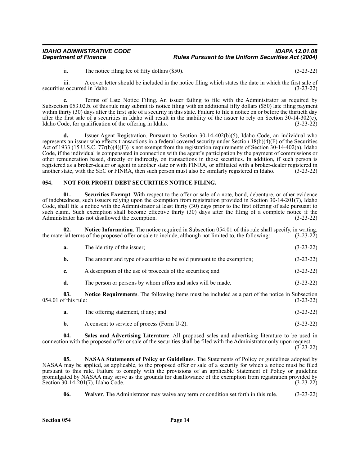ii. The notice filing fee of fifty dollars (\$50). (3-23-22)

iii. A cover letter should be included in the notice filing which states the date in which the first sale of securities occurred in Idaho. (3-23-22)

**c.** Terms of Late Notice Filing. An issuer failing to file with the Administrator as required by Subsection 053.02.b. of this rule may submit its notice filing with an additional fifty dollars (\$50) late filing payment within thirty (30) days after the first sale of a security in this state. Failure to file a notice on or before the thirtieth day after the first sale of a securities in Idaho will result in the inability of the issuer to rely on Section 30-14-302(c), Idaho Code, for qualification of the offering in Idaho. (3-23-22)

**d.** Issuer Agent Registration. Pursuant to Section 30-14-402(b)(5), Idaho Code, an individual who represents an issuer who effects transactions in a federal covered security under Section  $18(b)(4)(F)$  of the Securities Act of 1933 (15 U.S.C. 77r(b)(4)(F)) is not exempt from the registration requirements of Section 30-14-402(a), Idaho Code, if the individual is compensated in connection with the agent's participation by the payment of commissions or other remuneration based, directly or indirectly, on transactions in those securities. In addition, if such person is registered as a broker-dealer or agent in another state or with FINRA, or affiliated with a broker-dealer registered in another state, with the SEC or FINRA, then such person must also be similarly registered in Idaho. (3-23-22)

#### <span id="page-13-0"></span>**054. NOT FOR PROFIT DEBT SECURITIES NOTICE FILING.**

**01. Securities Exempt**. With respect to the offer or sale of a note, bond, debenture, or other evidence of indebtedness, such issuers relying upon the exemption from registration provided in Section 30-14-201(7), Idaho Code, shall file a notice with the Administrator at least thirty (30) days prior to the first offering of sale pursuant to such claim. Such exemption shall become effective thirty (30) days after the filing of a complete notice if the Administrator has not disallowed the exemption. (3-23-22)

**Notice Information**. The notice required in Subsection 054.01 of this rule shall specify, in writing, the material terms of the proposed offer or sale to include, although not limited to, the following: (3-23-22)

| The identity of the issuer:<br>$(3-23-22)$<br>а. |
|--------------------------------------------------|
|--------------------------------------------------|

| <b>b.</b>   | The amount and type of securities to be sold pursuant to the exemption; | $(3-23-22)$ |
|-------------|-------------------------------------------------------------------------|-------------|
| $c_{\cdot}$ | A description of the use of proceeds of the securities; and             | $(3-23-22)$ |

**d.** The person or persons by whom offers and sales will be made.  $(3-23-22)$ 

**03.** Notice Requirements. The following items must be included as a part of the notice in Subsection f this rule: (3-23-22)  $054.01$  of this rule:

| The offering statement, if any; and | $(3-23-22)$ |  |
|-------------------------------------|-------------|--|
|                                     |             |  |

#### **b.** A consent to service of process (Form U-2). (3-23-22)

**04. Sales and Advertising Literature**. All proposed sales and advertising literature to be used in connection with the proposed offer or sale of the securities shall be filed with the Administrator only upon request. (3-23-22)

**05. NASAA Statements of Policy or Guidelines**. The Statements of Policy or guidelines adopted by NASAA may be applied, as applicable, to the proposed offer or sale of a security for which a notice must be filed pursuant to this rule. Failure to comply with the provisions of an applicable Statement of Policy or guideline promulgated by NASAA may serve as the grounds for disallowance of the exemption from registration provided by Section 30-14-201(7), Idaho Code. (3-23-22)

**06. Waiver**. The Administrator may waive any term or condition set forth in this rule. (3-23-22)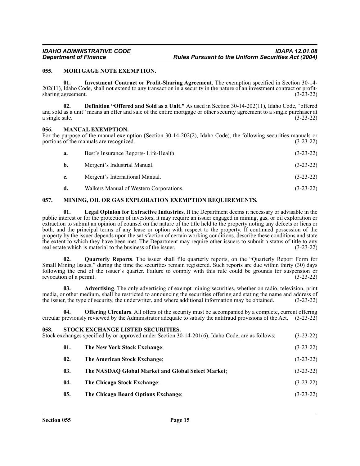### <span id="page-14-0"></span>**055. MORTGAGE NOTE EXEMPTION.**

**01. Investment Contract or Profit-Sharing Agreement**. The exemption specified in Section 30-14- 202(11), Idaho Code, shall not extend to any transaction in a security in the nature of an investment contract or profitsharing agreement. (3-23-22)

**02. Definition "Offered and Sold as a Unit."** As used in Section 30-14-202(11), Idaho Code, "offered and sold as a unit" means an offer and sale of the entire mortgage or other security agreement to a single purchaser at a single sale.  $(3-23-22)$ 

#### <span id="page-14-1"></span>**056. MANUAL EXEMPTION.**

For the purpose of the manual exemption (Section 30-14-202(2), Idaho Code), the following securities manuals or portions of the manuals are recognized. (3-23-22) portions of the manuals are recognized.

| a.          | Best's Insurance Reports-Life-Health.   | $(3-23-22)$ |
|-------------|-----------------------------------------|-------------|
| b.          | Mergent's Industrial Manual.            | $(3-23-22)$ |
| $c_{\cdot}$ | Mergent's International Manual.         | $(3-23-22)$ |
| d.          | Walkers Manual of Western Corporations. | $(3-23-22)$ |

### <span id="page-14-2"></span>**057. MINING, OIL OR GAS EXPLORATION EXEMPTION REQUIREMENTS.**

**01. Legal Opinion for Extractive Industries**. If the Department deems it necessary or advisable in the public interest or for the protection of investors, it may require an issuer engaged in mining, gas, or oil exploration or extraction to submit an opinion of counsel on the nature of the title held to the property noting any defects or liens or both, and the principal terms of any lease or option with respect to the property. If continued possession of the property by the issuer depends upon the satisfaction of certain working conditions, describe these conditions and state the extent to which they have been met. The Department may require other issuers to submit a status of title to any real estate which is material to the business of the issuer. (3-23-22) real estate which is material to the business of the issuer.

**02. Quarterly Reports**. The issuer shall file quarterly reports, on the "Quarterly Report Form for Small Mining Issues." during the time the securities remain registered. Such reports are due within thirty (30) days following the end of the issuer's quarter. Failure to comply with this rule could be grounds for suspension or revocation of a permit. (3-23-22)

**03. Advertising**. The only advertising of exempt mining securities, whether on radio, television, print media, or other medium, shall be restricted to announcing the securities offering and stating the name and address of the issuer, the type of security, the underwriter, and where additional information may be obtained. (3the issuer, the type of security, the underwriter, and where additional information may be obtained.

**04. Offering Circulars**. All offers of the security must be accompanied by a complete, current offering circular previously reviewed by the Administrator adequate to satisfy the antifraud provisions of the Act. (3-23-22)

<span id="page-14-3"></span>

| 058. |     | STOCK EXCHANGE LISTED SECURITIES.<br>Stock exchanges specified by or approved under Section $30-14-201(6)$ , Idaho Code, are as follows: | $(3-23-22)$ |
|------|-----|------------------------------------------------------------------------------------------------------------------------------------------|-------------|
|      | 01. | The New York Stock Exchange;                                                                                                             | $(3-23-22)$ |
|      | 02. | The American Stock Exchange;                                                                                                             | $(3-23-22)$ |
|      | 03. | The NASDAQ Global Market and Global Select Market;                                                                                       | $(3-23-22)$ |
|      | 04. | The Chicago Stock Exchange;                                                                                                              | $(3-23-22)$ |
|      | 05. | The Chicago Board Options Exchange;                                                                                                      | $(3-23-22)$ |
|      |     |                                                                                                                                          |             |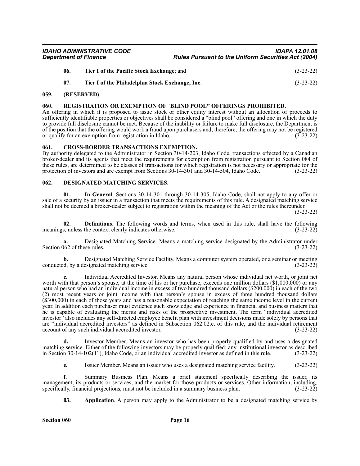| <b>IDAHO ADMINISTRATIVE CODE</b> | <b>IDAPA 12.01.08</b>                                      |
|----------------------------------|------------------------------------------------------------|
| <b>Department of Finance</b>     | <b>Rules Pursuant to the Uniform Securities Act (2004)</b> |

| -06. | Tier I of the Pacific Stock Exchange; and       | $(3-23-22)$ |
|------|-------------------------------------------------|-------------|
|      | Tier I of the Philadelphia Stock Exchange, Inc. | $(3-23-22)$ |

#### <span id="page-15-0"></span>**059. (RESERVED)**

#### <span id="page-15-1"></span>**060. REGISTRATION OR EXEMPTION OF** "**BLIND POOL" OFFERINGS PROHIBITED.**

An offering in which it is proposed to issue stock or other equity interest without an allocation of proceeds to sufficiently identifiable properties or objectives shall be considered a "blind pool" offering and one in which the duty to provide full disclosure cannot be met. Because of the inability or failure to make full disclosure, the Department is of the position that the offering would work a fraud upon purchasers and, therefore, the offering may not be registered or qualify for an exemption from registration in Idaho. (3-23-22)

#### <span id="page-15-2"></span>**061. CROSS-BORDER TRANSACTIONS EXEMPTION.**

By authority delegated to the Administrator in Section 30-14-203, Idaho Code, transactions effected by a Canadian broker-dealer and its agents that meet the requirements for exemption from registration pursuant to Section 084 of these rules, are determined to be classes of transactions for which registration is not necessary or appropriate for the protection of investors and are exempt from Sections 30-14-301 and  $\overline{30}$ -14-504, Idaho Code. (3-23-22)

#### <span id="page-15-3"></span>**062. DESIGNATED MATCHING SERVICES.**

**01. In General**. Sections 30-14-301 through 30-14-305, Idaho Code, shall not apply to any offer or sale of a security by an issuer in a transaction that meets the requirements of this rule. A designated matching service shall not be deemed a broker-dealer subject to registration within the meaning of the Act or the rules thereunder.

(3-23-22)

**02. Definitions**. The following words and terms, when used in this rule, shall have the following s, unless the context clearly indicates otherwise. (3-23-22) meanings, unless the context clearly indicates otherwise.

Designated Matching Service. Means a matching service designated by the Administrator under see rules. (3-23-22) Section 062 of these rules.

**b.** Designated Matching Service Facility. Means a computer system operated, or a seminar or meeting conducted, by a designated matching service. (3-23-22)

**c.** Individual Accredited Investor. Means any natural person whose individual net worth, or joint net worth with that person's spouse, at the time of his or her purchase, exceeds one million dollars (\$1,000,000) or any natural person who had an individual income in excess of two hundred thousand dollars (\$200,000) in each of the two (2) most recent years or joint income with that person's spouse in excess of three hundred thousand dollars (\$300,000) in each of those years and has a reasonable expectation of reaching the same income level in the current year. In addition each purchaser must evidence such knowledge and experience in financial and business matters that he is capable of evaluating the merits and risks of the prospective investment. The term "individual accredited investor" also includes any self-directed employee benefit plan with investment decisions made solely by persons that are "individual accredited investors" as defined in Subsection 062.02.c. of this rule, and the individual retirement account of any such individual accredited investor. (3-23-22)

**d.** Investor Member. Means an investor who has been properly qualified by and uses a designated matching service. Either of the following investors may be properly qualified: any institutional investor as described in Section 30-14-102(11), Idaho Code, or an individual accredited investor as defined in this rule. (3-23-22)

**e.** Issuer Member. Means an issuer who uses a designated matching service facility. (3-23-22)

**f.** Summary Business Plan. Means a brief statement specifically describing the issuer, its management, its products or services, and the market for those products or services. Other information, including, specifically, financial projections, must not be included in a summary business plan. (3-23-22) specifically, financial projections, must not be included in a summary business plan.

**03. Application**. A person may apply to the Administrator to be a designated matching service by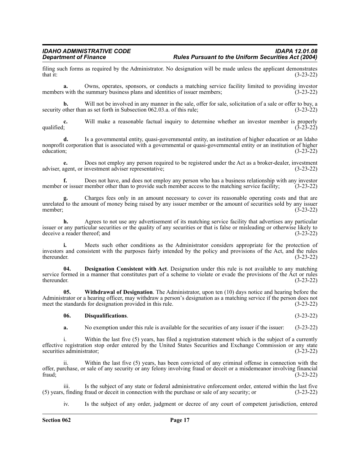filing such forms as required by the Administrator. No designation will be made unless the applicant demonstrates that it: (3-23-22) that it:  $(3-23-22)$ 

**a.** Owns, operates, sponsors, or conducts a matching service facility limited to providing investor members with the summary business plans and identities of issuer members; (3-23-22)

**b.** Will not be involved in any manner in the sale, offer for sale, solicitation of a sale or offer to buy, a other than as set forth in Subsection 062.03.a. of this rule; (3-23-22) security other than as set forth in Subsection 062.03.a. of this rule;

**c.** Will make a reasonable factual inquiry to determine whether an investor member is properly qualified; (3-23-22) qualified;  $(3-23-22)$ 

**d.** Is a governmental entity, quasi-governmental entity, an institution of higher education or an Idaho nonprofit corporation that is associated with a governmental or quasi-governmental entity or an institution of higher education; (3-23-22) education;  $(3-23-22)$ 

**e.** Does not employ any person required to be registered under the Act as a broker-dealer, investment adviser, agent, or investment adviser representative; (3-23-22)

**f.** Does not have, and does not employ any person who has a business relationship with any investor member or issuer member other than to provide such member access to the matching service facility; (3-23-22)

**g.** Charges fees only in an amount necessary to cover its reasonable operating costs and that are unrelated to the amount of money being raised by any issuer member or the amount of securities sold by any issuer member;<br>(3-23-22) member; (3-23-22)

**h.** Agrees to not use any advertisement of its matching service facility that advertises any particular issuer or any particular securities or the quality of any securities or that is false or misleading or otherwise likely to deceive a reader thereof; and

**i.** Meets such other conditions as the Administrator considers appropriate for the protection of investors and consistent with the purposes fairly intended by the policy and provisions of the Act, and the rules thereunder.  $(3-23-22)$ 

**04. Designation Consistent with Act**. Designation under this rule is not available to any matching service formed in a manner that constitutes part of a scheme to violate or evade the provisions of the Act or rules thereunder. (3-23-22) thereunder.  $(3-23-22)$ 

**05. Withdrawal of Designation**. The Administrator, upon ten (10) days notice and hearing before the Administrator or a hearing officer, may withdraw a person's designation as a matching service if the person does not meet the standards for designation provided in this rule. (3-23-22)

#### **06. Disqualifications**. (3-23-22)

**a.** No exemption under this rule is available for the securities of any issuer if the issuer: (3-23-22)

i. Within the last five (5) years, has filed a registration statement which is the subject of a currently effective registration stop order entered by the United States Securities and Exchange Commission or any state securities administrator; (3-23-22) securities administrator;

ii. Within the last five (5) years, has been convicted of any criminal offense in connection with the offer, purchase, or sale of any security or any felony involving fraud or deceit or a misdemeanor involving financial fraud; (3-23-22)

iii. Is the subject of any state or federal administrative enforcement order, entered within the last five (5) years, finding fraud or deceit in connection with the purchase or sale of any security; or (3-23-22)

iv. Is the subject of any order, judgment or decree of any court of competent jurisdiction, entered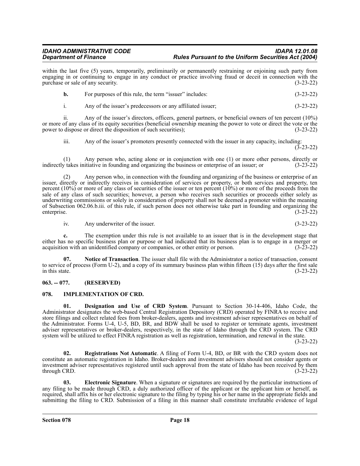within the last five (5) years, temporarily, preliminarily or permanently restraining or enjoining such party from engaging in or continuing to engage in any conduct or practice involving fraud or deceit in connection with the purchase or sale of any security. (3-23-22)

|  | For purposes of this rule, the term "issuer" includes: | $(3-23-22)$ |
|--|--------------------------------------------------------|-------------|
|--|--------------------------------------------------------|-------------|

i. Any of the issuer's predecessors or any affiliated issuer; (3-23-22)

ii. Any of the issuer's directors, officers, general partners, or beneficial owners of ten percent (10%) or more of any class of its equity securities (beneficial ownership meaning the power to vote or direct the vote or the power to dispose or direct the disposition of such securities); (3-23-22) power to dispose or direct the disposition of such securities);

iii. Any of the issuer's promoters presently connected with the issuer in any capacity, including:

 $(3-23-22)$ 

(1) Any person who, acting alone or in conjunction with one (1) or more other persons, directly or  $y$  takes initiative in founding and organizing the business or enterprise of an issuer; or  $(3-23-22)$ indirectly takes initiative in founding and organizing the business or enterprise of an issuer; or

(2) Any person who, in connection with the founding and organizing of the business or enterprise of an issuer, directly or indirectly receives in consideration of services or property, or both services and property, ten percent  $(10\%)$  or more of any class of securities of the issuer or ten percent  $(10\%)$  or more of the proceeds from the sale of any class of such securities; however, a person who receives such securities or proceeds either solely as underwriting commissions or solely in consideration of property shall not be deemed a promoter within the meaning of Subsection 062.06.b.iii. of this rule, if such person does not otherwise take part in founding and organizing the enterprise. (3-23-22)

iv. Any underwriter of the issuer. (3-23-22)

**c.** The exemption under this rule is not available to an issuer that is in the development stage that either has no specific business plan or purpose or had indicated that its business plan is to engage in a merger or acquisition with an unidentified company or companies, or other entity or person. (3-23-22) acquisition with an unidentified company or companies, or other entity or person.

**07. Notice of Transaction**. The issuer shall file with the Administrator a notice of transaction, consent to service of process (Form U-2), and a copy of its summary business plan within fifteen (15) days after the first sale<br>(3-23-22) in this state.  $(3-23-22)$ 

#### <span id="page-17-0"></span>**063. -- 077. (RESERVED)**

#### <span id="page-17-1"></span>**078. IMPLEMENTATION OF CRD.**

**01. Designation and Use of CRD System**. Pursuant to Section 30-14-406, Idaho Code, the Administrator designates the web-based Central Registration Depository (CRD) operated by FINRA to receive and store filings and collect related fees from broker-dealers, agents and investment adviser representatives on behalf of the Administrator. Forms U-4, U-5, BD, BR, and BDW shall be used to register or terminate agents, investment adviser representatives or broker-dealers, respectively, in the state of Idaho through the CRD system. The CRD system will be utilized to effect FINRA registration as well as registration, termination, and renewal in the state.

(3-23-22)

**02. Registrations Not Automatic**. A filing of Form U-4, BD, or BR with the CRD system does not constitute an automatic registration in Idaho. Broker-dealers and investment advisers should not consider agents or investment adviser representatives registered until such approval from the state of Idaho has been received by them  $\mu$  through CRD.  $(3-23-22)$ 

**03. Electronic Signature**. When a signature or signatures are required by the particular instructions of any filing to be made through CRD, a duly authorized officer of the applicant or the applicant him or herself, as required, shall affix his or her electronic signature to the filing by typing his or her name in the appropriate fields and submitting the filing to CRD. Submission of a filing in this manner shall constitute irrefutable evidence of legal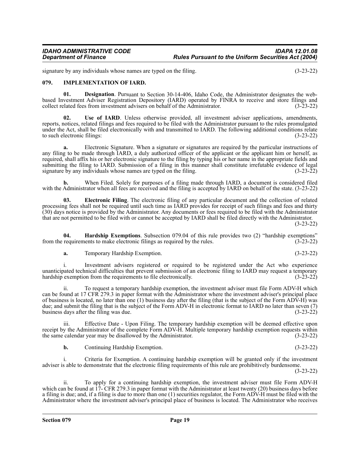signature by any individuals whose names are typed on the filing. (3-23-22) (3-23-22)

#### <span id="page-18-0"></span>**079. IMPLEMENTATION OF IARD.**

**01. Designation**. Pursuant to Section 30-14-406, Idaho Code, the Administrator designates the webbased Investment Adviser Registration Depository (IARD) operated by FINRA to receive and store filings and collect related fees from investment advisers on behalf of the Administrator.

Use of IARD. Unless otherwise provided, all investment adviser applications, amendments, reports, notices, related filings and fees required to be filed with the Administrator pursuant to the rules promulgated under the Act, shall be filed electronically with and transmitted to IARD. The following additional conditions relate to such electronic filings: (3-23-22)

**a.** Electronic Signature. When a signature or signatures are required by the particular instructions of any filing to be made through IARD, a duly authorized officer of the applicant or the applicant him or herself, as required, shall affix his or her electronic signature to the filing by typing his or her name in the appropriate fields and submitting the filing to IARD. Submission of a filing in this manner shall constitute irrefutable evidence of legal signature by any individuals whose names are typed on the filing. (3-23-22) (3-23-22)

**b.** When Filed. Solely for purposes of a filing made through IARD, a document is considered filed with the Administrator when all fees are received and the filing is accepted by IARD on behalf of the state. (3-23-22)

**03. Electronic Filing**. The electronic filing of any particular document and the collection of related processing fees shall not be required until such time as IARD provides for receipt of such filings and fees and thirty (30) days notice is provided by the Administrator. Any documents or fees required to be filed with the Administrator that are not permitted to be filed with or cannot be accepted by IARD shall be filed directly with the Administrator. (3-23-22)

**04. Hardship Exemptions**. Subsection 079.04 of this rule provides two (2) "hardship exemptions" from the requirements to make electronic filings as required by the rules. (3-23-22)

**a.** Temporary Hardship Exemption. (3-23-22)

i. Investment advisers registered or required to be registered under the Act who experience unanticipated technical difficulties that prevent submission of an electronic filing to IARD may request a temporary hardship exemption from the requirements to file electronically. (3-23-22)

ii. To request a temporary hardship exemption, the investment adviser must file Form ADV-H which can be found at 17 CFR 279.3 in paper format with the Administrator where the investment adviser's principal place of business is located, no later than one (1) business day after the filing (that is the subject of the Form ADV-H) was due; and submit the filing that is the subject of the Form ADV-H in electronic format to IARD no later than seven (7) business days after the filing was due. (3-23-22)

iii. Effective Date - Upon Filing. The temporary hardship exemption will be deemed effective upon receipt by the Administrator of the complete Form ADV-H. Multiple temporary hardship exemption requests within<br>the same calendar year may be disallowed by the Administrator. (3-23-22) the same calendar year may be disallowed by the Administrator.

**b.** Continuing Hardship Exemption. (3-23-22)

i. Criteria for Exemption. A continuing hardship exemption will be granted only if the investment adviser is able to demonstrate that the electronic filing requirements of this rule are prohibitively burdensome.

(3-23-22)

ii. To apply for a continuing hardship exemption, the investment adviser must file Form ADV-H which can be found at 17- CFR 279.3 in paper format with the Administrator at least twenty (20) business days before a filing is due; and, if a filing is due to more than one (1) securities regulator, the Form ADV-H must be filed with the Administrator where the investment adviser's principal place of business is located. The Administrator who receives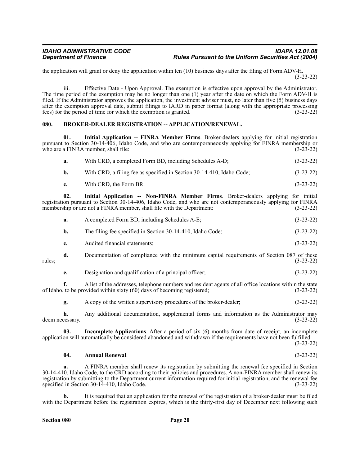the application will grant or deny the application within ten (10) business days after the filing of Form ADV-H. (3-23-22)

iii. Effective Date - Upon Approval. The exemption is effective upon approval by the Administrator. The time period of the exemption may be no longer than one (1) year after the date on which the Form ADV-H is filed. If the Administrator approves the application, the investment adviser must, no later than five (5) business days after the exemption approval date, submit filings to IARD in paper format (along with the appropriate processing fees) for the period of time for which the exemption is granted. (3-23-22)

#### <span id="page-19-0"></span>**080. BROKER-DEALER REGISTRATION -- APPLICATION/RENEWAL.**

**01. Initial Application -- FINRA Member Firms**. Broker-dealers applying for initial registration pursuant to Section 30-14-406, Idaho Code, and who are contemporaneously applying for FINRA membership or who are a FINRA member, shall file: (3-23-22) who are a FINRA member, shall file:

|  | With CRD, a completed Form BD, including Schedules A-D; | $(3-23-22)$ |
|--|---------------------------------------------------------|-------------|
|--|---------------------------------------------------------|-------------|

| b. |  |  |  | With CRD, a filing fee as specified in Section 30-14-410. Idaho Code: |  | $(3-23-22)$ |
|----|--|--|--|-----------------------------------------------------------------------|--|-------------|
|----|--|--|--|-----------------------------------------------------------------------|--|-------------|

**c.** With CRD, the Form BR. (3-23-22)

**02. Initial Application -- Non-FINRA Member Firms**. Broker-dealers applying for initial registration pursuant to Section 30-14-406, Idaho Code, and who are not contemporaneously applying for FINRA membership or are not a FINRA member, shall file with the Department: (3-23-22)

| а. | A completed Form BD, including Schedules A-E; | $(3-23-22)$ |
|----|-----------------------------------------------|-------------|
|    |                                               |             |

**b.** The filing fee specified in Section 30-14-410, Idaho Code; (3-23-22)

**c.** Audited financial statements; (3-23-22)

**d.** Documentation of compliance with the minimum capital requirements of Section 087 of these rules; (3-23-22)

**e.** Designation and qualification of a principal officer; (3-23-22)

**f.** A list of the addresses, telephone numbers and resident agents of all office locations within the state to be provided within sixty (60) days of becoming registered; (3-23-22) of Idaho, to be provided within sixty  $(60)$  days of becoming registered;

**g.** A copy of the written supervisory procedures of the broker-dealer; (3-23-22)

**h.** Any additional documentation, supplemental forms and information as the Administrator may ressary. (3-23-22) deem necessary.

**03. Incomplete Applications**. After a period of six (6) months from date of receipt, an incomplete application will automatically be considered abandoned and withdrawn if the requirements have not been fulfilled.

(3-23-22)

#### **04. Annual Renewal**. (3-23-22)

**a.** A FINRA member shall renew its registration by submitting the renewal fee specified in Section 30-14-410, Idaho Code, to the CRD according to their policies and procedures. A non-FINRA member shall renew its registration by submitting to the Department current information required for initial registration, and the renewal fee specified in Section 30-14-410, Idaho Code. (3-23-22)

**b.** It is required that an application for the renewal of the registration of a broker-dealer must be filed with the Department before the registration expires, which is the thirty-first day of December next following such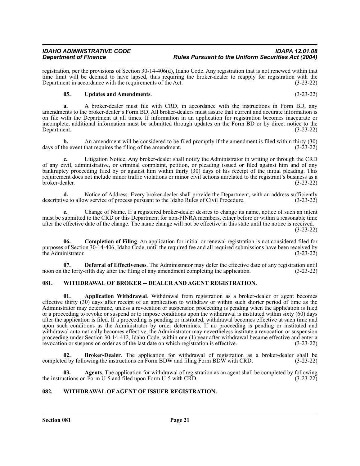registration, per the provisions of Section 30-14-406(d), Idaho Code. Any registration that is not renewed within that time limit will be deemed to have lapsed, thus requiring the broker-dealer to reapply for registration with the Department in accordance with the requirements of the Act. (3-23-22)

### **05. Updates and Amendments**. (3-23-22)

**a.** A broker-dealer must file with CRD, in accordance with the instructions in Form BD, any amendments to the broker-dealer's Form BD. All broker-dealers must assure that current and accurate information is on file with the Department at all times. If information in an application for registration becomes inaccurate or incomplete, additional information must be submitted through updates on the Form BD or by direct notice to the<br>(3-23-22) Department. (3-23-22)

**b.** An amendment will be considered to be filed promptly if the amendment is filed within thirty (30) days of the event that requires the filing of the amendment. (3-23-22)

**c.** Litigation Notice. Any broker-dealer shall notify the Administrator in writing or through the CRD of any civil, administrative, or criminal complaint, petition, or pleading issued or filed against him and of any bankruptcy proceeding filed by or against him within thirty (30) days of his receipt of the initial pleading. This requirement does not include minor traffic violations or minor civil actions unrelated to the registrant's business as a<br>(3-23-22) broker-dealer. (3-23-22)

**d.** Notice of Address. Every broker-dealer shall provide the Department, with an address sufficiently ve to allow service of process pursuant to the Idaho Rules of Civil Procedure. (3-23-22) descriptive to allow service of process pursuant to the Idaho Rules of Civil Procedure.

**e.** Change of Name. If a registered broker-dealer desires to change its name, notice of such an intent must be submitted to the CRD or this Department for non-FINRA members, either before or within a reasonable time after the effective date of the change. The name change will not be effective in this state until the notice is received. (3-23-22)

**06. Completion of Filing**. An application for initial or renewal registration is not considered filed for purposes of Section 30-14-406, Idaho Code, until the required fee and all required submissions have been received by<br>(3-23-22) the Administrator.

**07. Deferral of Effectiveness**. The Administrator may defer the effective date of any registration until the forty-fifth day after the filing of any amendment completing the application. (3-23-22) noon on the forty-fifth day after the filing of any amendment completing the application.

# <span id="page-20-0"></span>**081. WITHDRAWAL OF BROKER -- DEALER AND AGENT REGISTRATION.**

**01. Application Withdrawal**. Withdrawal from registration as a broker-dealer or agent becomes effective thirty (30) days after receipt of an application to withdraw or within such shorter period of time as the Administrator may determine, unless a revocation or suspension proceeding is pending when the application is filed or a proceeding to revoke or suspend or to impose conditions upon the withdrawal is instituted within sixty (60) days after the application is filed. If a proceeding is pending or instituted, withdrawal becomes effective at such time and upon such conditions as the Administrator by order determines. If no proceeding is pending or instituted and withdrawal automatically becomes effective, the Administrator may nevertheless institute a revocation or suspension proceeding under Section 30-14-412, Idaho Code, within one (1) year after withdrawal became effective and enter a revocation or suspension order as of the last date on which registration is effective. (3-23-22)

**02. Broker-Dealer**. The application for withdrawal of registration as a broker-dealer shall be d by following the instructions on Form BDW and filing Form BDW with CRD. (3-23-22) completed by following the instructions on Form BDW and filing Form BDW with CRD.

**03.** Agents. The application for withdrawal of registration as an agent shall be completed by following actions on Form U-5 and filed upon Form U-5 with CRD.  $(3-23-22)$ the instructions on Form U-5 and filed upon Form U-5 with CRD.

# <span id="page-20-1"></span>**082. WITHDRAWAL OF AGENT OF ISSUER REGISTRATION.**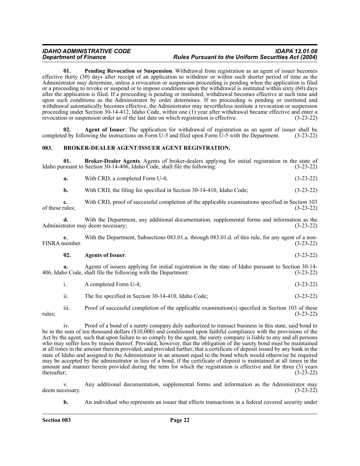**01. Pending Revocation or Suspension**. Withdrawal from registration as an agent of issuer becomes effective thirty (30) days after receipt of an application to withdraw or within such shorter period of time as the Administrator may determine, unless a revocation or suspension proceeding is pending when the application is filed or a proceeding to revoke or suspend or to impose conditions upon the withdrawal is instituted within sixty (60) days after the application is filed. If a proceeding is pending or instituted, withdrawal becomes effective at such time and upon such conditions as the Administrator by order determines. If no proceeding is pending or instituted and withdrawal automatically becomes effective, the Administrator may nevertheless institute a revocation or suspension proceeding under Section 30-14-412, Idaho Code, within one (1) year after withdrawal became effective and enter a revocation or suspension order as of the last date on which registration is effective. (3-23-22)

**02. Agent of Issuer**. The application for withdrawal of registration as an agent of issuer shall be completed by following the instructions on Form U-5 and filed upon Form U-5 with the Department. (3-23-22)

#### <span id="page-21-0"></span>**083. BROKER-DEALER AGENT/ISSUER AGENT REGISTRATION.**

**01. Broker-Dealer Agents**. Agents of broker-dealers applying for initial registration in the state of Idaho pursuant to Section 30-14-406, Idaho Code, shall file the following: (3-23-22)

**a.** With CRD, a completed Form U-4; (3-23-22)

**b.** With CRD, the filing fee specified in Section 30-14-410, Idaho Code; (3-23-22)

**c.** With CRD, proof of successful completion of the applicable examinations specified in Section 103 of these rules;  $(3-23-22)$ 

**d.** With the Department, any additional documentation, supplemental forms and information as the Administrator may deem necessary; (3-23-22)

**e.** With the Department, Subsections 083.01.a. through 083.01.d. of this rule, for any agent of a non-FINRA member. (3-23-22)

#### **02. Agents of Issuer**. (3-23-22)

**a.** Agents of issuers applying for initial registration in the state of Idaho pursuant to Section 30-14- 406, Idaho Code, shall file the following with the Department: (3-23-22)

i. A completed Form U-4; (3-23-22)

ii. The fee specified in Section 30-14-410, Idaho Code; (3-23-22)

iii. Proof of successful completion of the applicable examination(s) specified in Section 103 of these rules; (3-23-22)

iv. Proof of a bond of a surety company duly authorized to transact business in this state, said bond to be in the sum of ten thousand dollars (\$10,000) and conditioned upon faithful compliance with the provisions of the Act by the agent, such that upon failure to so comply by the agent, the surety company is liable to any and all persons who may suffer loss by reason thereof. Provided, however, that the obligation of the surety bond must be maintained at all times in the amount therein provided; and provided further, that a certificate of deposit issued by any bank in the state of Idaho and assigned to the Administrator in an amount equal to the bond which would otherwise be required may be accepted by the administrator in lieu of a bond, if the certificate of deposit is maintained at all times in the amount and manner herein provided during the term for which the registration is effective and for three (3) years thereafter;<br>(3-23-22) thereafter;  $(3-23-22)$ 

v. Any additional documentation, supplemental forms and information as the Administrator may deem necessary. (3-23-22)

**b.** An individual who represents an issuer that effects transactions in a federal covered security under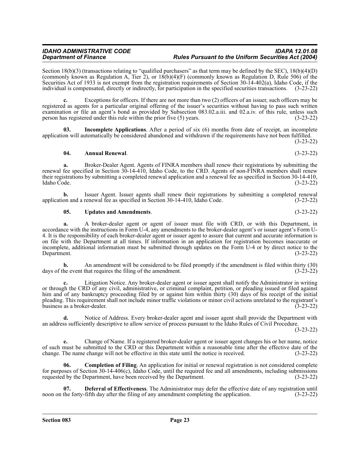Section 18(b)(3) (transactions relating to "qualified purchasers" as that term may be defined by the SEC),  $18(b)(4)(D)$ (commonly known as Regulation A, Tier 2), or 18(b)(4)(F) (commonly known as Regulation D, Rule 506) of the Securities Act of 1933 is not exempt from the registration requirements of Section 30-14-402(a), Idaho Code, if the individual is compensated, directly or indirectly, for participation in the specified securities transactions. (3-23-22)

**c.** Exceptions for officers. If there are not more than two (2) officers of an issuer, such officers may be registered as agents for a particular original offering of the issuer's securities without having to pass such written examination or file an agent's bond as provided by Subsection 083.02.a.iii. and 02.a.iv. of this rule, unless such person has registered under this rule within the prior five (5) years. (3-23-22)

**03. Incomplete Applications**. After a period of six (6) months from date of receipt, an incomplete application will automatically be considered abandoned and withdrawn if the requirements have not been fulfilled. (3-23-22)

**04. Annual Renewal**. (3-23-22)

**a.** Broker-Dealer Agent. Agents of FINRA members shall renew their registrations by submitting the renewal fee specified in Section 30-14-410, Idaho Code, to the CRD. Agents of non-FINRA members shall renew their registrations by submitting a completed renewal application and a renewal fee as specified in Section 30-14-410, Idaho Code. (3-23-22)

**b.** Issuer Agent. Issuer agents shall renew their registrations by submitting a completed renewal on and a renewal fee as specified in Section 30-14-410, Idaho Code. (3-23-22) application and a renewal fee as specified in Section 30-14-410, Idaho Code.

### **05. Updates and Amendments**. (3-23-22)

**a.** A broker-dealer agent or agent of issuer must file with CRD, or with this Department, in accordance with the instructions in Form U-4, any amendments to the broker-dealer agent's or issuer agent's Form U-4. It is the responsibility of each broker-dealer agent or issuer agent to assure that current and accurate information is on file with the Department at all times. If information in an application for registration becomes inaccurate or incomplete, additional information must be submitted through updates on the Form U-4 or by direct notice to the<br>(3-23-22) Department. (3-23-22)

**b.** An amendment will be considered to be filed promptly if the amendment is filed within thirty (30) he event that requires the filing of the amendment. (3-23-22) days of the event that requires the filing of the amendment.

Litigation Notice. Any broker-dealer agent or issuer agent shall notify the Administrator in writing or through the CRD of any civil, administrative, or criminal complaint, petition, or pleading issued or filed against him and of any bankruptcy proceeding filed by or against him within thirty (30) days of his receipt of the initial pleading. This requirement shall not include minor traffic violations or minor civil actions unrelated to the registrant's business as a broker-dealer. (3-23-22)

**d.** Notice of Address. Every broker-dealer agent and issuer agent shall provide the Department with an address sufficiently descriptive to allow service of process pursuant to the Idaho Rules of Civil Procedure.

(3-23-22)

**e.** Change of Name. If a registered broker-dealer agent or issuer agent changes his or her name, notice of such must be submitted to the CRD or this Department within a reasonable time after the effective date of the change. The name change will not be effective in this state until the notice is received. (3-23-22)

**06.** Completion of Filing. An application for initial or renewal registration is not considered complete for purposes of Section 30-14-406(c), Idaho Code, until the required fee and all amendments, including submissions requested by the Department, have been received by the Department. (3-23-22)

**07. Deferral of Effectiveness**. The Administrator may defer the effective date of any registration until the forty-fifth day after the filing of any amendment completing the application. (3-23-22) noon on the forty-fifth day after the filing of any amendment completing the application.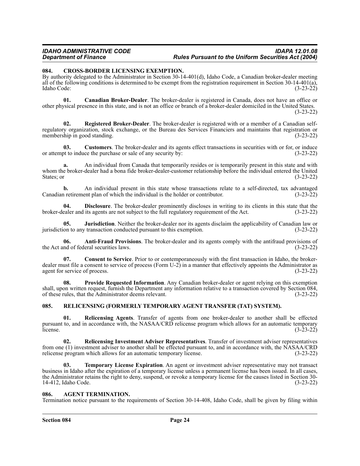#### <span id="page-23-0"></span>**084. CROSS-BORDER LICENSING EXEMPTION.**

By authority delegated to the Administrator in Section 30-14-401(d), Idaho Code, a Canadian broker-dealer meeting all of the following conditions is determined to be exempt from the registration requirement in Section 30-14-401(a), Idaho Code:  $(3-23-22)$ Idaho Code: (3-23-22)

**01. Canadian Broker-Dealer**. The broker-dealer is registered in Canada, does not have an office or other physical presence in this state, and is not an office or branch of a broker-dealer domiciled in the United States. (3-23-22)

**02. Registered Broker-Dealer**. The broker-dealer is registered with or a member of a Canadian selfregulatory organization, stock exchange, or the Bureau des Services Financiers and maintains that registration or membership in good standing. (3-23-22)

**03. Customers**. The broker-dealer and its agents effect transactions in securities with or for, or induce or attempt to induce the purchase or sale of any security by: (3-23-22)

**a.** An individual from Canada that temporarily resides or is temporarily present in this state and with whom the broker-dealer had a bona fide broker-dealer-customer relationship before the individual entered the United States; or  $(3-23-22)$ 

**b.** An individual present in this state whose transactions relate to a self-directed, tax advantaged a retirement plan of which the individual is the holder or contributor. (3-23-22) Canadian retirement plan of which the individual is the holder or contributor.

**04. Disclosure**. The broker-dealer prominently discloses in writing to its clients in this state that the broker-dealer and its agents are not subject to the full regulatory requirement of the Act. (3-23-22)

**05. Jurisdiction**. Neither the broker-dealer nor its agents disclaim the applicability of Canadian law or on to any transaction conducted pursuant to this exemption. (3-23-22) jurisdiction to any transaction conducted pursuant to this exemption.

**06.** Anti-Fraud Provisions. The broker-dealer and its agents comply with the antifraud provisions of nd of federal securities laws. (3-23-22) the Act and of federal securities laws.

**Consent to Service**. Prior to or contemporaneously with the first transaction in Idaho, the brokerdealer must file a consent to service of process (Form U-2) in a manner that effectively appoints the Administrator as agent for service of process. (3-23-22) agent for service of process.

**08. Provide Requested Information**. Any Canadian broker-dealer or agent relying on this exemption shall, upon written request, furnish the Department any information relative to a transaction covered by Section 084, of these rules, that the Administrator deems relevant. (3-23-22)

#### <span id="page-23-1"></span>**085. RELICENSING (FORMERLY TEMPORARY AGENT TRANSFER (TAT) SYSTEM).**

**01. Relicensing Agents**. Transfer of agents from one broker-dealer to another shall be effected pursuant to, and in accordance with, the NASAA/CRD relicense program which allows for an automatic temporary<br>(3-23-22) license.  $(3-23-22)$ 

**02. Relicensing Investment Adviser Representatives**. Transfer of investment adviser representatives from one (1) investment adviser to another shall be effected pursuant to, and in accordance with, the NASAA/CRD relicense program which allows for an automatic temporary license. (3-23-22)

**03. Temporary License Expiration**. An agent or investment adviser representative may not transact business in Idaho after the expiration of a temporary license unless a permanent license has been issued. In all cases, the Administrator retains the right to deny, suspend, or revoke a temporary license for the causes listed in Section 30- 14-412, Idaho Code. (3-23-22)

#### <span id="page-23-2"></span>**086. AGENT TERMINATION.**

Termination notice pursuant to the requirements of Section 30-14-408, Idaho Code, shall be given by filing within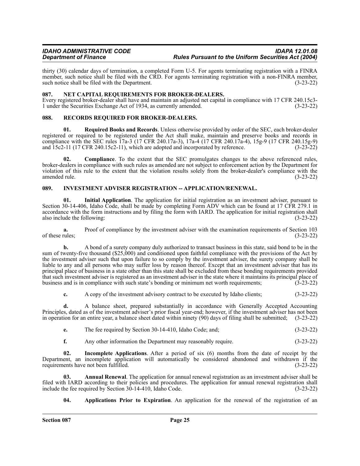thirty (30) calendar days of termination, a completed Form U-5. For agents terminating registration with a FINRA member, such notice shall be filed with the CRD. For agents terminating registration with a non-FINRA member, such notice shall be filed with the Department. (3-23-22)

#### <span id="page-24-0"></span>**087. NET CAPITAL REQUIREMENTS FOR BROKER-DEALERS.**

Every registered broker-dealer shall have and maintain an adjusted net capital in compliance with 17 CFR 240.15c3- 1 under the Securities Exchange Act of 1934, as currently amended.

#### <span id="page-24-1"></span>**088. RECORDS REQUIRED FOR BROKER-DEALERS.**

**01. Required Books and Records**. Unless otherwise provided by order of the SEC, each broker-dealer registered or required to be registered under the Act shall make, maintain and preserve books and records in compliance with the SEC rules 17a-3 (17 CFR 240.17a-3), 17a-4 (17 CFR 240.17a-4), 15g-9 (17 CFR 240.15g-9) and 15c2-11 (17 CFR 240.15c2-11), which are adopted and incorporated by reference. (3-23-22) and  $15c2-11$  (17 CFR 240.15c2-11), which are adopted and incorporated by reference.

**02.** Compliance. To the extent that the SEC promulgates changes to the above referenced rules, broker-dealers in compliance with such rules as amended are not subject to enforcement action by the Department for violation of this rule to the extent that the violation results solely from the broker-dealer's compliance with the amended rule. (3-23-22)

#### <span id="page-24-2"></span>**089. INVESTMENT ADVISER REGISTRATION -- APPLICATION/RENEWAL.**

**01. Initial Application**. The application for initial registration as an investment adviser, pursuant to Section 30-14-406, Idaho Code, shall be made by completing Form ADV which can be found at 17 CFR 279.1 in accordance with the form instructions and by filing the form with IARD. The application for initial registration shall<br>(3-23-22) (3-23-22) also include the following:

**a.** Proof of compliance by the investment adviser with the examination requirements of Section 103 rules;<br>(3-23-22) of these rules;

**b.** A bond of a surety company duly authorized to transact business in this state, said bond to be in the sum of twenty-five thousand (\$25,000) and conditioned upon faithful compliance with the provisions of the Act by the investment adviser such that upon failure to so comply by the investment adviser, the surety company shall be liable to any and all persons who may suffer loss by reason thereof. Except that an investment adviser that has its principal place of business in a state other than this state shall be excluded from these bonding requirements provided that such investment adviser is registered as an investment adviser in the state where it maintains its principal place of business and is in compliance with such state's bonding or minimum net worth requirements; (3-23-22)

**c.** A copy of the investment advisory contract to be executed by Idaho clients;  $(3-23-22)$ 

**d.** A balance sheet, prepared substantially in accordance with Generally Accepted Accounting Principles, dated as of the investment adviser's prior fiscal year-end; however, if the investment adviser has not been in operation for an entire year, a balance sheet dated within ninety (90) days of filing shall be submitted; (3-23-22)

- **e.** The fee required by Section 30-14-410, Idaho Code; and; (3-23-22)
- **f.** Any other information the Department may reasonably require. (3-23-22)

**02. Incomplete Applications**. After a period of six (6) months from the date of receipt by the Department, an incomplete application will automatically be considered abandoned and withdrawn if the requirements have not been fulfilled. (3-23-22)

**03. Annual Renewal**. The application for annual renewal registration as an investment adviser shall be filed with IARD according to their policies and procedures. The application for annual renewal registration shall include the fee required by Section 30-14-410, Idaho Code. (3-23-22) include the fee required by Section  $3\dot{0}$ -14-410, Idaho Code.

**04. Applications Prior to Expiration**. An application for the renewal of the registration of an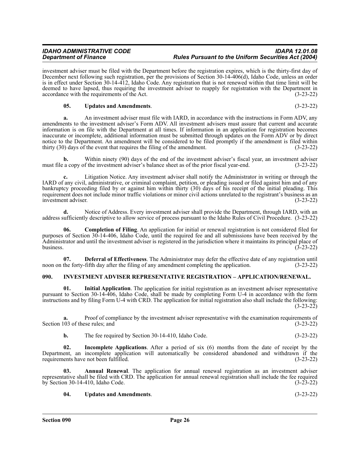investment adviser must be filed with the Department before the registration expires, which is the thirty-first day of December next following such registration, per the provisions of Section 30-14-406(d), Idaho Code, unless an order is in effect under Section 30-14-412, Idaho Code. Any registration that is not renewed within that time limit will be deemed to have lapsed, thus requiring the investment adviser to reapply for registration with the Department in accordance with the requirements of the Act. (3-23-22)

#### **05. Updates and Amendments**. (3-23-22)

**a.** An investment adviser must file with IARD, in accordance with the instructions in Form ADV, any amendments to the investment adviser's Form ADV. All investment advisers must assure that current and accurate information is on file with the Department at all times. If information in an application for registration becomes inaccurate or incomplete, additional information must be submitted through updates on the Form ADV or by direct notice to the Department. An amendment will be considered to be filed promptly if the amendment is filed within thirty (30) days of the event that requires the filing of the amendment. (3-23-22)

**b.** Within ninety (90) days of the end of the investment adviser's fiscal year, an investment adviser a copy of the investment adviser's balance sheet as of the prior fiscal year-end. (3-23-22) must file a copy of the investment adviser's balance sheet as of the prior fiscal year-end.

**c.** Litigation Notice. Any investment adviser shall notify the Administrator in writing or through the IARD of any civil, administrative, or criminal complaint, petition, or pleading issued or filed against him and of any bankruptcy proceeding filed by or against him within thirty (30) days of his receipt of the initial pleading. This requirement does not include minor traffic violations or minor civil actions unrelated to the registrant's business as an investment adviser. (3-23-22) investment adviser.

**d.** Notice of Address. Every investment adviser shall provide the Department, through IARD, with an address sufficiently descriptive to allow service of process pursuant to the Idaho Rules of Civil Procedure. (3-23-22)

**06. Completion of Filing**. An application for initial or renewal registration is not considered filed for purposes of Section 30-14-406, Idaho Code, until the required fee and all submissions have been received by the Administrator and until the investment adviser is registered in the jurisdiction where it maintains its principal place of business. (3-23-22) business.  $(3-23-22)$ 

**07. Deferral of Effectiveness**. The Administrator may defer the effective date of any registration until noon on the forty-fifth day after the filing of any amendment completing the application. (3-23-22)

#### <span id="page-25-0"></span>**090. INVESTMENT ADVISER REPRESENTATIVE REGISTRATION – APPLICATION/RENEWAL.**

**01. Initial Application**. The application for initial registration as an investment adviser representative pursuant to Section 30-14-406, Idaho Code, shall be made by completing Form U-4 in accordance with the form instructions and by filing Form U-4 with CRD. The application for initial registration also shall include the following: (3-23-22)

Proof of compliance by the investment adviser representative with the examination requirements of the rese rules; and (3-23-22) Section 103 of these rules; and

| <b>b.</b> | The fee required by Section 30-14-410. Idaho Code. | $(3-23-22)$ |
|-----------|----------------------------------------------------|-------------|
|-----------|----------------------------------------------------|-------------|

**Incomplete Applications**. After a period of six (6) months from the date of receipt by the Department, an incomplete application will automatically be considered abandoned and withdrawn if the requirements have not been fulfilled.

**Annual Renewal**. The application for annual renewal registration as an investment adviser representative shall be filed with CRD. The application for annual renewal registration shall include the fee required by Section 30-14-410, Idaho Code. (3-23-22)

| -04. | <b>Updates and Amendments.</b> | $(3-23-22)$ |
|------|--------------------------------|-------------|
|------|--------------------------------|-------------|

**Section 090 Page 26**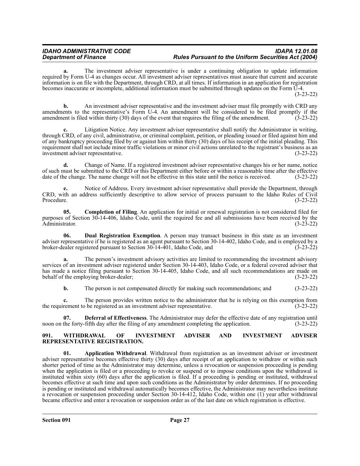**a.** The investment adviser representative is under a continuing obligation to update information required by Form U-4 as changes occur. All investment adviser representatives must assure that current and accurate information is on file with the Department, through CRD, at all times. If information in an application for registration becomes inaccurate or incomplete, additional information must be submitted through updates on the Form U-4. (3-23-22)

**b.** An investment adviser representative and the investment adviser must file promptly with CRD any amendments to the representative's Form U-4. An amendment will be considered to be filed promptly if the amendment is filed within thirty (30) days of the event that requires the filing of the amendment. (3-23-22)

**c.** Litigation Notice. Any investment adviser representative shall notify the Administrator in writing, through CRD, of any civil, administrative, or criminal complaint, petition, or pleading issued or filed against him and of any bankruptcy proceeding filed by or against him within thirty (30) days of his receipt of the initial pleading. This requirement shall not include minor traffic violations or minor civil actions unrelated to the registrant's business as an investment adviser representative. (3-23-22)

**d.** Change of Name. If a registered investment adviser representative changes his or her name, notice of such must be submitted to the CRD or this Department either before or within a reasonable time after the effective date of the change. The name change will not be effective in this state until the notice is received. (3-23-22)

**e.** Notice of Address. Every investment adviser representative shall provide the Department, through CRD, with an address sufficiently descriptive to allow service of process pursuant to the Idaho Rules of Civil Procedure. (3-23-22)

**05.** Completion of Filing. An application for initial or renewal registration is not considered filed for purposes of Section 30-14-406, Idaho Code, until the required fee and all submissions have been received by the Administrator. (3-23-22)

**06. Dual Registration Exemption**. A person may transact business in this state as an investment adviser representative if he is registered as an agent pursuant to Section 30-14-402, Idaho Code, and is employed by a broker-dealer registered pursuant to Section  $30-14-401$ , Idaho Code, and

**a.** The person's investment advisory activities are limited to recommending the investment advisory services of an investment adviser registered under Section 30-14-403, Idaho Code, or a federal covered adviser that has made a notice filing pursuant to Section 30-14-405, Idaho Code, and all such recommendations are made on behalf of the employing broker-dealer; (3-23-22)

**b.** The person is not compensated directly for making such recommendations; and  $(3-23-22)$ 

**c.** The person provides written notice to the administrator that he is relying on this exemption from the requirement to be registered as an investment adviser representative. (3-23-22)

**07. Deferral of Effectiveness**. The Administrator may defer the effective date of any registration until the forty-fifth day after the filing of any amendment completing the application. (3-23-22) noon on the forty-fifth day after the filing of any amendment completing the application.

#### <span id="page-26-0"></span>**091. WITHDRAWAL OF INVESTMENT ADVISER AND INVESTMENT ADVISER REPRESENTATIVE REGISTRATION.**

**01. Application Withdrawal**. Withdrawal from registration as an investment adviser or investment adviser representative becomes effective thirty (30) days after receipt of an application to withdraw or within such shorter period of time as the Administrator may determine, unless a revocation or suspension proceeding is pending when the application is filed or a proceeding to revoke or suspend or to impose conditions upon the withdrawal is instituted within sixty (60) days after the application is filed. If a proceeding is pending or instituted, withdrawal becomes effective at such time and upon such conditions as the Administrator by order determines. If no proceeding is pending or instituted and withdrawal automatically becomes effective, the Administrator may nevertheless institute a revocation or suspension proceeding under Section 30-14-412, Idaho Code, within one (1) year after withdrawal became effective and enter a revocation or suspension order as of the last date on which registration is effective.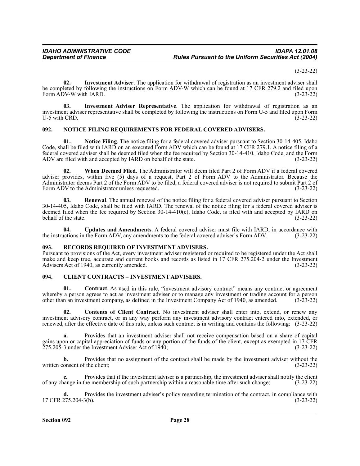(3-23-22)

**02. Investment Adviser**. The application for withdrawal of registration as an investment adviser shall be completed by following the instructions on Form ADV-W which can be found at 17 CFR 279.2 and filed upon Form ADV-W with IARD. (3-23-22)

**03. Investment Adviser Representative**. The application for withdrawal of registration as an investment adviser representative shall be completed by following the instructions on Form U-5 and filed upon Form U-5 with CRD. (3-23-22)

#### <span id="page-27-0"></span>**092. NOTICE FILING REQUIREMENTS FOR FEDERAL COVERED ADVISERS.**

**01. Notice Filing**. The notice filing for a federal covered adviser pursuant to Section 30-14-405, Idaho Code, shall be filed with IARD on an executed Form ADV which can be found at 17 CFR 279.1. A notice filing of a federal covered adviser shall be deemed filed when the fee required by Section 30-14-410, Idaho Code, and the Form ADV are filed with and accepted by IARD on behalf of the state. (3-23-22)

**02. When Deemed Filed**. The Administrator will deem filed Part 2 of Form ADV if a federal covered adviser provides, within five (5) days of a request, Part 2 of Form ADV to the Administrator. Because the Administrator deems Part 2 of the Form ADV to be filed, a federal covered adviser is not required to submit Part 2 of Form ADV to the Administrator unless requested. (3-23-22)

**Renewal**. The annual renewal of the notice filing for a federal covered adviser pursuant to Section 30-14-405, Idaho Code, shall be filed with IARD. The renewal of the notice filing for a federal covered adviser is deemed filed when the fee required by Section 30-14-410(e), Idaho Code, is filed with and accepted by IARD on behalf of the state. (3-23-22)

**04. Updates and Amendments**. A federal covered adviser must file with IARD, in accordance with the instructions in the Form ADV, any amendments to the federal covered adviser's Form ADV. (3-23-22)

#### <span id="page-27-1"></span>**093. RECORDS REQUIRED OF INVESTMENT ADVISERS.**

Pursuant to provisions of the Act, every investment adviser registered or required to be registered under the Act shall make and keep true, accurate and current books and records as listed in 17 CFR 275.204-2 under the Investment Advisers Act of 1940, as currently amended. (3-23-22)

#### <span id="page-27-2"></span>**094. CLIENT CONTRACTS – INVESTMENT ADVISERS.**

**01. Contract**. As used in this rule, "investment advisory contract" means any contract or agreement whereby a person agrees to act as investment adviser or to manage any investment or trading account for a person other than an investment company, as defined in the Investment Company Act of 1940, as amended. (3-23-22) other than an investment company, as defined in the Investment Company Act of 1940, as amended.

**02. Contents of Client Contract**. No investment adviser shall enter into, extend, or renew any investment advisory contract, or in any way perform any investment advisory contract entered into, extended, or renewed, after the effective date of this rule, unless such contract is in writing and contains the following: (3-23-22)

**a.** Provides that an investment adviser shall not receive compensation based on a share of capital gains upon or capital appreciation of funds or any portion of the funds of the client, except as exempted in 17 CFR 275.205-3 under the Investment Adviser Act of 1940; (3-23-22)

**b.** Provides that no assignment of the contract shall be made by the investment adviser without the written consent of the client; (3-23-22)

**c.** Provides that if the investment adviser is a partnership, the investment adviser shall notify the client of any change in the membership of such partnership within a reasonable time after such change; (3-23-22)

**d.** Provides the investment adviser's policy regarding termination of the contract, in compliance with 17 CFR 275.204-3(b). (3-23-22)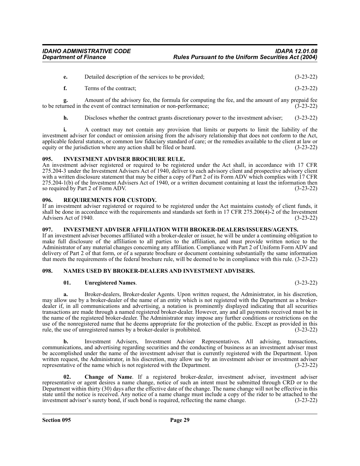| Detailed description of the services to be provided; | $(3-23-22)$ |
|------------------------------------------------------|-------------|
|                                                      |             |

**f.** Terms of the contract; (3-23-22)

**g.** Amount of the advisory fee, the formula for computing the fee, and the amount of any prepaid fee urned in the event of contract termination or non-performance; (3-23-22) to be returned in the event of contract termination or non-performance;

**h.** Discloses whether the contract grants discretionary power to the investment adviser; (3-23-22)

**i.** A contract may not contain any provision that limits or purports to limit the liability of the investment adviser for conduct or omission arising from the advisory relationship that does not conform to the Act, applicable federal statutes, or common law fiduciary standard of care; or the remedies available to the client at law or equity or the jurisdiction where any action shall be filed or heard. (3-23-22)

#### <span id="page-28-0"></span>**095. INVESTMENT ADVISER BROCHURE RULE.**

An investment adviser registered or required to be registered under the Act shall, in accordance with 17 CFR 275.204-3 under the Investment Advisers Act of 1940, deliver to each advisory client and prospective advisory client with a written disclosure statement that may be either a copy of Part 2 of its Form ADV which complies with 17 CFR 275.204-1(b) of the Investment Advisers Act of 1940, or a written document containing at least the information then so required by Part 2 of Form ADV. (3-23-22)

#### <span id="page-28-1"></span>**096. REQUIREMENTS FOR CUSTODY.**

If an investment adviser registered or required to be registered under the Act maintains custody of client funds, it shall be done in accordance with the requirements and standards set forth in 17 CFR 275.206(4)-2 of the Investment Advisers Act of 1940. Advisers Act of 1940.

#### <span id="page-28-2"></span>**097. INVESTMENT ADVISER AFFILIATION WITH BROKER-DEALERS/ISSUERS/AGENTS.**

If an investment adviser becomes affiliated with a broker-dealer or issuer, he will be under a continuing obligation to make full disclosure of the affiliation to all parties to the affiliation, and must provide written notice to the Administrator of any material changes concerning any affiliation. Compliance with Part 2 of Uniform Form ADV and delivery of Part 2 of that form, or of a separate brochure or document containing substantially the same information that meets the requirements of the federal brochure rule, will be deemed to be in compliance with this rule. (3-23-22)

#### <span id="page-28-3"></span>**098. NAMES USED BY BROKER-DEALERS AND INVESTMENT ADVISERS.**

#### **01. Unregistered Names**. (3-23-22)

**a.** Broker-dealers, Broker-dealer Agents. Upon written request, the Administrator, in his discretion, may allow use by a broker-dealer of the name of an entity which is not registered with the Department as a brokerdealer if, in all communications and advertising, a notation is prominently displayed indicating that all securities transactions are made through a named registered broker-dealer. However, any and all payments received must be in the name of the registered broker-dealer. The Administrator may impose any further conditions or restrictions on the use of the nonregistered name that he deems appropriate for the protection of the public. Except as provided in this rule, the use of unregistered names by a broker-dealer is prohibited. (3-23-22)

**b.** Investment Advisers, Investment Adviser Representatives. All advising, transactions, communications, and advertising regarding securities and the conducting of business as an investment adviser must be accomplished under the name of the investment adviser that is currently registered with the Department. Upon written request, the Administrator, in his discretion, may allow use by an investment adviser or investment adviser representative of the name which is not registered with the Department. (3-23-22)

**02. Change of Name**. If a registered broker-dealer, investment adviser, investment adviser representative or agent desires a name change, notice of such an intent must be submitted through CRD or to the Department within thirty (30) days after the effective date of the change. The name change will not be effective in this state until the notice is received. Any notice of a name change must include a copy of the rider to be attached to the investment adviser's surety bond, if such bond is required, reflecting the name change. (3-23-22)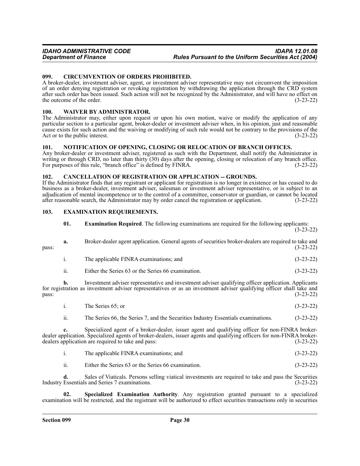#### <span id="page-29-0"></span>**099. CIRCUMVENTION OF ORDERS PROHIBITED.**

A broker-dealer, investment adviser, agent, or investment adviser representative may not circumvent the imposition of an order denying registration or revoking registration by withdrawing the application through the CRD system after such order has been issued. Such action will not be recognized by the Administrator, and will have no effect on the outcome of the order.  $(3-23-22)$ 

#### <span id="page-29-1"></span>**100. WAIVER BY ADMINISTRATOR.**

The Administrator may, either upon request or upon his own motion, waive or modify the application of any particular section to a particular agent, broker-dealer or investment adviser when, in his opinion, just and reasonable cause exists for such action and the waiving or modifying of such rule would not be contrary to the provisions of the Act or to the public interest. (3-23-22)

#### <span id="page-29-2"></span>**101. NOTIFICATION OF OPENING, CLOSING OR RELOCATION OF BRANCH OFFICES.**

Any broker-dealer or investment adviser, registered as such with the Department, shall notify the Administrator in writing or through CRD, no later than thirty (30) days after the opening, closing or relocation of any branch office.<br>For purposes of this rule, "branch office" is defined by FINRA. (3-23-22) For purposes of this rule, "branch office" is defined by FINRA.

#### <span id="page-29-3"></span>**102. CANCELLATION OF REGISTRATION OR APPLICATION -- GROUNDS.**

If the Administrator finds that any registrant or applicant for registration is no longer in existence or has ceased to do business as a broker-dealer, investment adviser, salesman or investment adviser representative, or is subject to an adjudication of mental incompetence or to the control of a committee, conservator or guardian, or cannot be located after reasonable search, the Administrator may by order cancel the registration or application. (3-23-22)

#### <span id="page-29-4"></span>**103. EXAMINATION REQUIREMENTS.**

| 01. | <b>Examination Required.</b> The following examinations are required for the following applicants: |  |  |             |
|-----|----------------------------------------------------------------------------------------------------|--|--|-------------|
|     |                                                                                                    |  |  | $(3-23-22)$ |

**a.** Broker-dealer agent application. General agents of securities broker-dealers are required to take and  $pass:$  (3-23-22)

- i. The applicable FINRA examinations; and (3-23-22)
- ii. Either the Series 63 or the Series 66 examination. (3-23-22)

**b.** Investment adviser representative and investment adviser qualifying officer application. Applicants for registration as investment adviser representatives or as an investment adviser qualifying officer shall take and  $pass:$  (3-23-22)

i. The Series 65; or (3-23-22)

ii. The Series 66, the Series 7, and the Securities Industry Essentials examinations. (3-23-22)

**c.** Specialized agent of a broker-dealer, issuer agent and qualifying officer for non-FINRA brokerdealer application. Specialized agents of broker-dealers, issuer agents and qualifying officers for non-FINRA brokerdealers application are required to take and pass: (3-23-22)

| The applicable FINRA examinations: and | $(3-23-22)$ |
|----------------------------------------|-------------|
|                                        |             |

ii. Either the Series 63 or the Series 66 examination. (3-23-22)

**d.** Sales of Viaticals. Persons selling viatical investments are required to take and pass the Securities Industry Essentials and Series 7 examinations. (3-23-22)

**02. Specialized Examination Authority**. Any registration granted pursuant to a specialized examination will be restricted, and the registrant will be authorized to effect securities transactions only in securities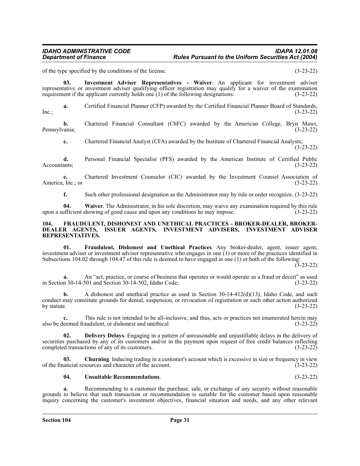of the type specified by the conditions of the license. (3-23-22)

**03. Investment Adviser Representatives - Waiver**. An applicant for investment adviser representative or investment adviser qualifying officer registration may qualify for a waiver of the examination requirement if the applicant currently holds one (1) of the following designations: (3-23-22)

**a.** Certified Financial Planner (CFP) awarded by the Certified Financial Planner Board of Standards,  $\ln c$ ; (3-23-22)

**b.** Chartered Financial Consultant (ChFC) awarded by the American College, Bryn Mawr, (3-23-22) Pennsylvania;

**c.** Chartered Financial Analyst (CFA) awarded by the Institute of Chartered Financial Analysts; (3-23-22)

**d.** Personal Financial Specialist (PFS) awarded by the American Institute of Certified Public Accountants; (3-23-22) Accountants; (3-23-22)

**e.** Chartered Investment Counselor (CIC) awarded by the Investment Counsel Association of America, Inc.; or (3-23-22)

**f.** Such other professional designation as the Administrator may by rule or order recognize. (3-23-22)

**04.** Waiver. The Administrator, in his sole discretion, may waive any examination required by this rule ufficient showing of good cause and upon any conditions he may impose. (3-23-22) upon a sufficient showing of good cause and upon any conditions he may impose.

#### <span id="page-30-0"></span>**104. FRAUDULENT, DISHONEST AND UNETHICAL PRACTICES - BROKER-DEALER, BROKER-DEALER AGENTS, ISSUER AGENTS, INVESTMENT ADVISERS, INVESTMENT ADVISER REPRESENTATIVES.**

**01. Fraudulent, Dishonest and Unethical Practices**. Any broker-dealer, agent, issuer agent, investment adviser or investment adviser representative who engages in one (1) or more of the practices identified in Subsections 104.02 through 104.47 of this rule is deemed to have engaged in one (1) or both of the following:

 $(3-23-22)$ 

**a.** An "act, practice, or course of business that operates or would operate as a fraud or deceit" as used n 30-14-501 and Section 30-14-502. Idaho Code:  $(3-23-22)$ in Section  $30-14-501$  and Section  $30-14-502$ , Idaho Code;

**b.** A dishonest and unethical practice as used in Section 30-14-412(d)(13), Idaho Code, and such conduct may constitute grounds for denial, suspension, or revocation of registration or such other action authorized<br>by statute. (3-23-22) by statute.  $(3-23-22)$ 

**c.** This rule is not intended to be all-inclusive, and thus, acts or practices not enumerated herein may leemed fraudulent, or dishonest and unethical. (3-23-22) also be deemed fraudulent, or dishonest and unethical.

**02. Delivery Delays**. Engaging in a pattern of unreasonable and unjustifiable delays in the delivery of securities purchased by any of its customers and/or in the payment upon request of free credit balances reflecting completed transactions of any of its customers. (3-23-22)

**03. Churning**. Inducing trading in a customer's account which is excessive in size or frequency in view of the financial resources and character of the account. (3-23-22)

#### **04. Unsuitable Recommendations**. (3-23-22)

**a.** Recommending to a customer the purchase, sale, or exchange of any security without reasonable grounds to believe that such transaction or recommendation is suitable for the customer based upon reasonable inquiry concerning the customer's investment objectives, financial situation and needs, and any other relevant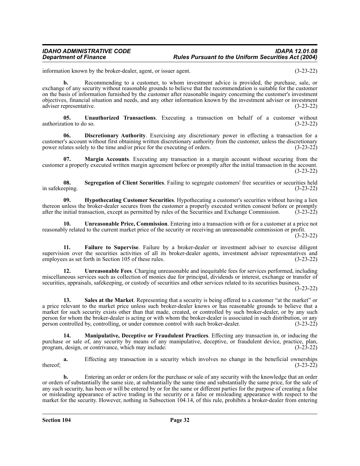information known by the broker-dealer, agent, or issuer agent. (3-23-22)

**b.** Recommending to a customer, to whom investment advice is provided, the purchase, sale, or exchange of any security without reasonable grounds to believe that the recommendation is suitable for the customer on the basis of information furnished by the customer after reasonable inquiry concerning the customer's investment objectives, financial situation and needs, and any other information known by the investment adviser or investment adviser representative.

**05. Unauthorized Transactions**. Executing a transaction on behalf of a customer without authorization to do so. (3-23-22)

**06. Discretionary Authority**. Exercising any discretionary power in effecting a transaction for a customer's account without first obtaining written discretionary authority from the customer, unless the discretionary power relates solely to the time and/or price for the executing of orders. (3-23-22)

**07. Margin Accounts**. Executing any transaction in a margin account without securing from the customer a properly executed written margin agreement before or promptly after the initial transaction in the account. (3-23-22)

**08.** Segregation of Client Securities. Failing to segregate customers' free securities or securities held in safekeeping. (3-23-22)

**09. Hypothecating Customer Securities**. Hypothecating a customer's securities without having a lien thereon unless the broker-dealer secures from the customer a properly executed written consent before or promptly after the initial transaction, except as permitted by rules of the Securities and Exchange Commission. (3-23 after the initial transaction, except as permitted by rules of the Securities and Exchange Commission.

**10. Unreasonable Price, Commission**. Entering into a transaction with or for a customer at a price not reasonably related to the current market price of the security or receiving an unreasonable commission or profit.

(3-23-22)

**11. Failure to Supervise**. Failure by a broker-dealer or investment adviser to exercise diligent supervision over the securities activities of all its broker-dealer agents, investment adviser representatives and employees as set forth in Section 105 of these rules. (3-23-22)

**12. Unreasonable Fees**. Charging unreasonable and inequitable fees for services performed, including miscellaneous services such as collection of monies due for principal, dividends or interest, exchange or transfer of securities, appraisals, safekeeping, or custody of securities and other services related to its securities business.

(3-23-22)

**13. Sales at the Market**. Representing that a security is being offered to a customer "at the market" or a price relevant to the market price unless such broker-dealer knows or has reasonable grounds to believe that a market for such security exists other than that made, created, or controlled by such broker-dealer, or by any such person for whom the broker-dealer is acting or with whom the broker-dealer is associated in such distribution, or any person controlled by, controlling, or under common control with such broker-dealer. (3-23-22)

**14. Manipulative, Deceptive or Fraudulent Practices**. Effecting any transaction in, or inducing the purchase or sale of, any security by means of any manipulative, deceptive, or fraudulent device, practice, plan, program, design, or contrivance, which may include: (3-23-22)

**a.** Effecting any transaction in a security which involves no change in the beneficial ownerships thereof;  $(3-23-22)$ 

**b.** Entering an order or orders for the purchase or sale of any security with the knowledge that an order or orders of substantially the same size, at substantially the same time and substantially the same price, for the sale of any such security, has been or will be entered by or for the same or different parties for the purpose of creating a false or misleading appearance of active trading in the security or a false or misleading appearance with respect to the market for the security. However, nothing in Subsection 104.14, of this rule, prohibits a broker-dealer from entering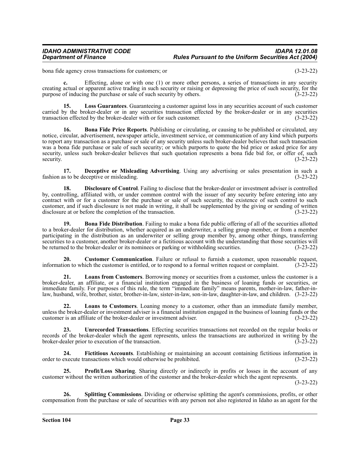bona fide agency cross transactions for customers; or (3-23-22)

**c.** Effecting, alone or with one (1) or more other persons, a series of transactions in any security creating actual or apparent active trading in such security or raising or depressing the price of such security, for the purpose of inducing the purchase or sale of such security by others. (3-23-22)

**15. Loss Guarantees**. Guaranteeing a customer against loss in any securities account of such customer carried by the broker-dealer or in any securities transaction effected by the broker-dealer or in any securities transaction effected by the broker-dealer with or for such customer. (3-23-22)

**16. Bona Fide Price Reports**. Publishing or circulating, or causing to be published or circulated, any notice, circular, advertisement, newspaper article, investment service, or communication of any kind which purports to report any transaction as a purchase or sale of any security unless such broker-dealer believes that such transaction was a bona fide purchase or sale of such security; or which purports to quote the bid price or asked price for any security, unless such broker-dealer believes that such quotation represents a bona fide bid for, or offer of, such security. (3-23-22) security.  $(3-23-22)$ 

**17. Deceptive or Misleading Advertising**. Using any advertising or sales presentation in such a fashion as to be deceptive or misleading. (3-23-22)

**18. Disclosure of Control**. Failing to disclose that the broker-dealer or investment adviser is controlled by, controlling, affiliated with, or under common control with the issuer of any security before entering into any contract with or for a customer for the purchase or sale of such security, the existence of such control to such customer, and if such disclosure is not made in writing, it shall be supplemented by the giving or sending of written disclosure at or before the completion of the transaction. (3-23-22)

**19. Bona Fide Distribution**. Failing to make a bona fide public offering of all of the securities allotted to a broker-dealer for distribution, whether acquired as an underwriter, a selling group member, or from a member participating in the distribution as an underwriter or selling group member by, among other things, transferring securities to a customer, another broker-dealer or a fictitious account with the understanding that those securities will be returned to the broker-dealer or its nominees or parking or withholding securities. (3-23-22)

**20. Customer Communication**. Failure or refusal to furnish a customer, upon reasonable request, information to which the customer is entitled, or to respond to a formal written request or complaint. (3-23-22)

**21. Loans from Customers**. Borrowing money or securities from a customer, unless the customer is a broker-dealer, an affiliate, or a financial institution engaged in the business of loaning funds or securities, or immediate family. For purposes of this rule, the term "immediate family" means parents, mother-in-law, father-inlaw, husband, wife, brother, sister, brother-in-law, sister-in-law, son-in-law, daughter-in-law, and children. (3-23-22)

**22. Loans to Customers**. Loaning money to a customer, other than an immediate family member, unless the broker-dealer or investment adviser is a financial institution engaged in the business of loaning funds or the customer is an affiliate of the broker-dealer or investment adviser. (3-23-22)

**23. Unrecorded Transactions**. Effecting securities transactions not recorded on the regular books or records of the broker-dealer which the agent represents, unless the transactions are authorized in writing by the broker-dealer prior to execution of the transaction. (3-23-22)

**24. Fictitious Accounts**. Establishing or maintaining an account containing fictitious information in order to execute transactions which would otherwise be prohibited. (3-23-22)

**Profit/Loss Sharing.** Sharing directly or indirectly in profits or losses in the account of any customer without the written authorization of the customer and the broker-dealer which the agent represents.

(3-23-22)

**26. Splitting Commissions**. Dividing or otherwise splitting the agent's commissions, profits, or other compensation from the purchase or sale of securities with any person not also registered in Idaho as an agent for the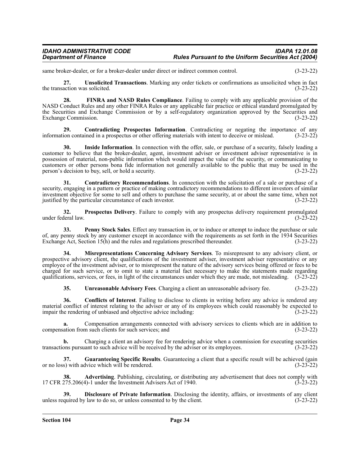same broker-dealer, or for a broker-dealer under direct or indirect common control. (3-23-22)

**27. Unsolicited Transactions**. Marking any order tickets or confirmations as unsolicited when in fact the transaction was solicited. (3-23-22)

**28. FINRA and NASD Rules Compliance**. Failing to comply with any applicable provision of the NASD Conduct Rules and any other FINRA Rules or any applicable fair practice or ethical standard promulgated by the Securities and Exchange Commission or by a self-regulatory organization approved by the Securities and Exchange Commission. (3-23-22)

**29. Contradicting Prospectus Information**. Contradicting or negating the importance of any information contained in a prospectus or other offering materials with intent to deceive or mislead. (3-23-22)

**30. Inside Information**. In connection with the offer, sale, or purchase of a security, falsely leading a customer to believe that the broker-dealer, agent, investment adviser or investment adviser representative is in possession of material, non-public information which would impact the value of the security, or communicating to customers or other persons bona fide information not generally available to the public that may be used in the person's decision to buy, sell, or hold a security. (3-23-22)

**31. Contradictory Recommendations**. In connection with the solicitation of a sale or purchase of a security, engaging in a pattern or practice of making contradictory recommendations to different investors of similar investment objective for some to sell and others to purchase the same security, at or about the same time, when not justified by the particular circumstance of each investor. (3-23-22) justified by the particular circumstance of each investor.

**32. Prospectus Delivery**. Failure to comply with any prospectus delivery requirement promulgated deral law. (3-23-22) under federal law.

**33.** Penny Stock Sales. Effect any transaction in, or to induce or attempt to induce the purchase or sale of, any penny stock by any customer except in accordance with the requirements as set forth in the 1934 Securities Exchange Act, Section 15(h) and the rules and regulations prescribed thereunder. (3-23-22)

**34. Misrepresentations Concerning Advisory Services**. To misrepresent to any advisory client, or prospective advisory client, the qualifications of the investment adviser, investment adviser representative or any employee of the investment adviser, or to misrepresent the nature of the advisory services being offered or fees to be charged for such service, or to omit to state a material fact necessary to make the statements made regarding qualifications, services, or fees, in light of the circumstances under which they are made, not misleading. (3-23-22)

**35. Unreasonable Advisory Fees**. Charging a client an unreasonable advisory fee. (3-23-22)

**36. Conflicts of Interest**. Failing to disclose to clients in writing before any advice is rendered any material conflict of interest relating to the adviser or any of its employees which could reasonably be expected to impair the rendering of unbiased and objective advice including: (3-23-22)

**a.** Compensation arrangements connected with advisory services to clients which are in addition to compensation from such clients for such services; and (3-23-22)

**b.** Charging a client an advisory fee for rendering advice when a commission for executing securities transactions pursuant to such advice will be received by the adviser or its employees. (3-23-22)

**37. Guaranteeing Specific Results**. Guaranteeing a client that a specific result will be achieved (gain or no loss) with advice which will be rendered. (3-23-22)

**38.** Advertising. Publishing, circulating, or distributing any advertisement that does not comply with 17 CFR 275.206(4)-1 under the Investment Advisers Act of 1940. (3-23-22)

**39. Disclosure of Private Information**. Disclosing the identity, affairs, or investments of any client unless required by law to do so, or unless consented to by the client. (3-23-22)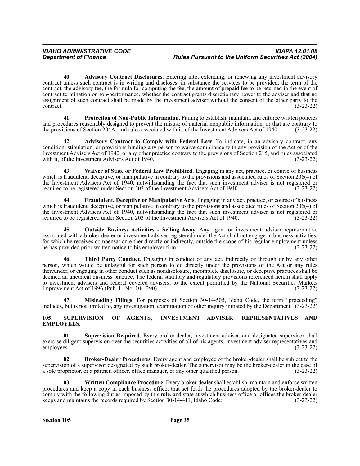**40. Advisory Contract Disclosures**. Entering into, extending, or renewing any investment advisory contract unless such contract is in writing and discloses, in substance the services to be provided, the term of the contract, the advisory fee, the formula for computing the fee, the amount of prepaid fee to be returned in the event of contract termination or non-performance, whether the contract grants discretionary power to the adviser and that no assignment of such contract shall be made by the investment adviser without the consent of the other party to the contract. (3-23-22)  $\frac{3-23-22}{2}$ 

**41. Protection of Non-Public Information**. Failing to establish, maintain, and enforce written policies and procedures reasonably designed to prevent the misuse of material nonpublic information, or that are contrary to the provisions of Section 204A, and rules associated with it, of the Investment Advisers Act of 1940. (3-23-22)

**42. Advisory Contract to Comply with Federal Law**. To indicate, in an advisory contract, any condition, stipulation, or provisions binding any person to waive compliance with any provision of the Act or of the Investment Advisers Act of 1940, or any other practice contrary to the provisions of Section 215, and rules associated with it, of the Investment Advisers Act of 1940.

**43. Waiver of State or Federal Law Prohibited**. Engaging in any act, practice, or course of business which is fraudulent, deceptive, or manipulative in contrary to the provisions and associated rules of Section 206(4) of the Investment Advisers Act of 1940, notwithstanding the fact that such investment adviser is not registered or required to be registered under Section 203 of the Investment Advisers Act of 1940. (3-23-22)

**44. Fraudulent, Deceptive or Manipulative Acts**. Engaging in any act, practice, or course of business which is fraudulent, deceptive, or manipulative in contrary to the provisions and associated rules of Section 206(4) of the Investment Advisers Act of 1940, notwithstanding the fact that such investment adviser is not registered or<br>required to be registered under Section 203 of the Investment Advisers Act of 1940. (3-23-22) required to be registered under Section 203 of the Investment Advisers Act of 1940.

**45. Outside Business Activities - Selling Away**. Any agent or investment adviser representative associated with a broker-dealer or investment adviser registered under the Act shall not engage in business activities, for which he receives compensation either directly or indirectly, outside the scope of his regular employment unless<br>he has provided prior written notice to his employer firm. (3-23-22) he has provided prior written notice to his employer firm.

**46. Third Party Conduct**. Engaging in conduct or any act, indirectly or through or by any other person, which would be unlawful for such person to do directly under the provisions of the Act or any rules thereunder, or engaging in other conduct such as nondisclosure, incomplete disclosure, or deceptive practices shall be deemed an unethical business practice. The federal statutory and regulatory provisions referenced herein shall apply to investment advisers and federal covered advisers, to the extent permitted by the National Securities Markets Improvement Act of 1996 (Pub. L. No. 104-290). (3-23-22)

**47. Misleading Filings**. For purposes of Section 30-14-505, Idaho Code, the term "proceeding" includes, but is not limited to, any investigation, examination or other inquiry initiated by the Department. (3-23-22)

#### <span id="page-34-0"></span>**105. SUPERVISION OF AGENTS, INVESTMENT ADVISER REPRESENTATIVES AND EMPLOYEES.**

**01. Supervision Required**. Every broker-dealer, investment adviser, and designated supervisor shall exercise diligent supervision over the securities activities of all of his agents, investment adviser representatives and employees. (3-23-22)

**02. Broker-Dealer Procedures**. Every agent and employee of the broker-dealer shall be subject to the supervision of a supervisor designated by such broker-dealer. The supervisor may be the broker-dealer in the case of a sole proprietor, or a partner, officer, office manager, or any other qualified person. (3-23-22)

**03. Written Compliance Procedure**. Every broker-dealer shall establish, maintain and enforce written procedures and keep a copy in each business office, that set forth the procedures adopted by the broker-dealer to comply with the following duties imposed by this rule, and state at which business office or offices the broker-dealer keeps and maintains the records required by Section 30-14-411, Idaho Code: (3-23-22)